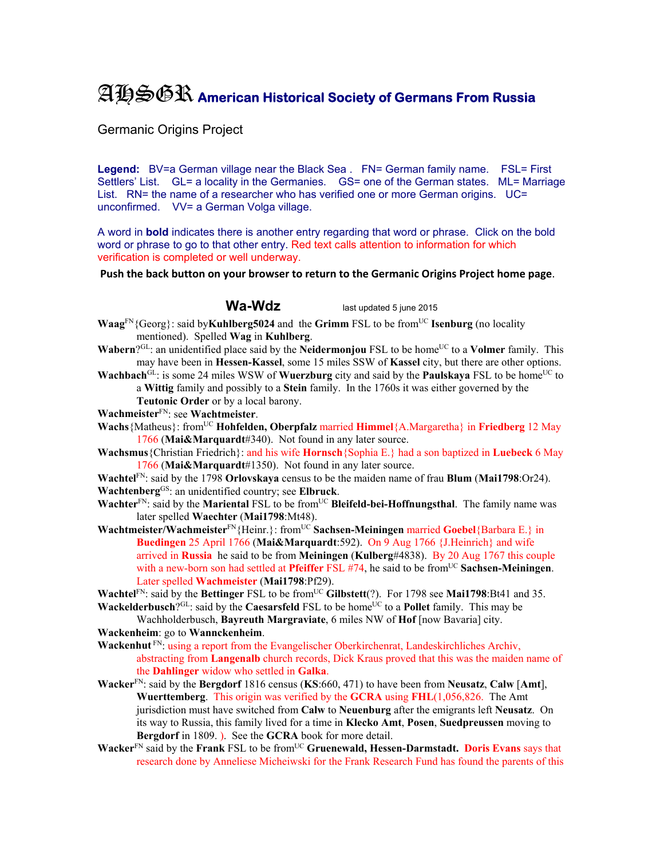## AHSGR **American Historical Society of Germans From Russia**

Germanic Origins Project

Legend: BV=a German village near the Black Sea . FN= German family name. FSL= First Settlers' List. GL= a locality in the Germanies. GS= one of the German states. ML= Marriage List. RN= the name of a researcher who has verified one or more German origins. UC= unconfirmed. VV= a German Volga village.

A word in **bold** indicates there is another entry regarding that word or phrase. Click on the bold word or phrase to go to that other entry. Red text calls attention to information for which verification is completed or well underway.

**Push the back button on your browser to return to the Germanic Origins Project home page**.

Wa-Wdz<br>ast updated 5 june 2015

- **Waag**FN{Georg}: said by**Kuhlberg5024** and the **Grimm** FSL to be fromUC **Isenburg** (no locality mentioned). Spelled **Wag** in **Kuhlberg**.
- **Wabern**?GL: an unidentified place said by the **Neidermonjou** FSL to be home<sup>UC</sup> to a **Volmer** family. This may have been in **Hessen-Kassel**, some 15 miles SSW of **Kassel** city, but there are other options.
- **Wachbach**<sup>GL</sup>: is some 24 miles WSW of **Wuerzburg** city and said by the **Paulskaya** FSL to be home<sup>UC</sup> to a **Wittig** family and possibly to a **Stein** family. In the 1760s it was either governed by the
	- **Teutonic Order** or by a local barony.

**Wachmeister**FN: see **Wachtmeister**.

**Wachs**{Matheus}: from<sup>UC</sup> **Hohfelden, Oberpfalz** married **Himmel**{A.Margaretha} in **Friedberg** 12 May 1766 (**Mai&Marquardt**#340). Not found in any later source.

**Wachsmus**{Christian Friedrich}: and his wife **Hornsch**{Sophia E.} had a son baptized in **Luebeck** 6 May 1766 (**Mai&Marquardt**#1350). Not found in any later source.

**Wachtel**FN: said by the 1798 **Orlovskaya** census to be the maiden name of frau **Blum** (**Mai1798**:Or24). **Wachtenberg**GS: an unidentified country; see **Elbruck**.

**Wachter**<sup>FN</sup>: said by the **Mariental** FSL to be from<sup>UC</sup> Bleifeld-bei-Hoffnungsthal. The family name was later spelled **Waechter** (**Mai1798**:Mt48).

**Wachtmeister/Wachmeister**FN{Heinr.}: fromUC **Sachsen-Meiningen** married **Goebel**{Barbara E.} in **Buedingen** 25 April 1766 (**Mai&Marquardt**:592). On 9 Aug 1766 {J.Heinrich} and wife arrived in **Russia** he said to be from **Meiningen** (**Kulberg**#4838). By 20 Aug 1767 this couple with a new-born son had settled at **Pfeiffer** FSL #74, he said to be from<sup>UC</sup> Sachsen-Meiningen. Later spelled **Wachmeister** (**Mai1798**:Pf29).

**Wachtel**<sup>FN</sup>: said by the **Bettinger** FSL to be from<sup>UC</sup> Gilbstett(?). For 1798 see **Mai1798**:Bt41 and 35. **Wackelderbusch**?<sup>GL</sup>: said by the **Caesarsfeld** FSL to be home<sup>UC</sup> to a **Pollet** family. This may be

Wachholderbusch, **Bayreuth Margraviate**, 6 miles NW of **Hof** [now Bavaria] city. **Wackenheim**: go to **Wannckenheim**.

Wackenhut<sup>FN</sup>: using a report from the Evangelischer Oberkirchenrat, Landeskirchliches Archiv, abstracting from **Langenalb** church records, Dick Kraus proved that this was the maiden name of the **Dahlinger** widow who settled in **Galka**.

- **Wacker**FN: said by the **Bergdorf** 1816 census (**KS**:660, 471) to have been from **Neusatz**, **Calw** [**Amt**], **Wuerttemberg**. This origin was verified by the **GCRA** using **FHL**(1,056,826. The Amt jurisdiction must have switched from **Calw** to **Neuenburg** after the emigrants left **Neusatz**. On its way to Russia, this family lived for a time in **Klecko Amt**, **Posen**, **Suedpreussen** moving to **Bergdorf** in 1809. ). See the **GCRA** book for more detail.
- Wacker<sup>FN</sup> said by the **Frank** FSL to be from<sup>UC</sup> Gruenewald, Hessen-Darmstadt. Doris Evans says that research done by Anneliese Micheiwski for the Frank Research Fund has found the parents of this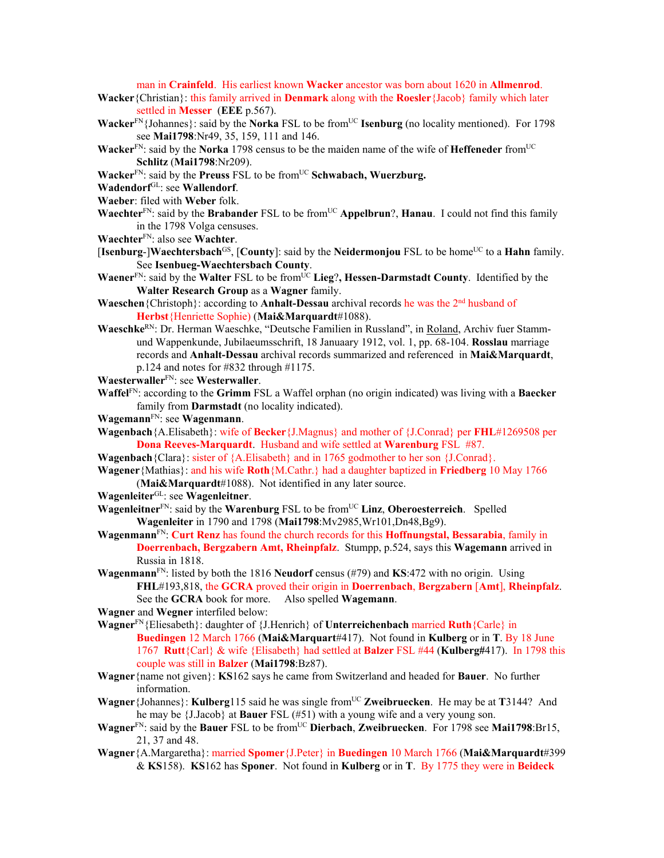man in **Crainfeld**. His earliest known **Wacker** ancestor was born about 1620 in **Allmenrod**.

- **Wacker**{Christian}: this family arrived in **Denmark** along with the **Roesler**{Jacob} family which later settled in **Messer** (**EEE** p.567).
- **Wacker**<sup>FN</sup>{Johannes}: said by the **Norka** FSL to be from<sup>UC</sup> **Isenburg** (no locality mentioned). For 1798 see **Mai1798**:Nr49, 35, 159, 111 and 146.
- **Wacker**<sup>FN</sup>: said by the **Norka** 1798 census to be the maiden name of the wife of **Heffeneder** from<sup>UC</sup> **Schlitz** (**Mai1798**:Nr209).
- **Wacker**<sup>FN</sup>: said by the **Preuss** FSL to be from<sup>UC</sup> Schwabach, Wuerzburg.
- **Wadendorf**GL: see **Wallendorf**.
- **Waeber**: filed with **Weber** folk.
- **Waechter**<sup>FN</sup>: said by the **Brabander** FSL to be from<sup>UC</sup> **Appelbrun**?, **Hanau**. I could not find this family in the 1798 Volga censuses.
- **Waechter**FN: also see **Wachter**.
- [Isenburg-]Waechtersbach<sup>GS</sup>, [County]: said by the Neidermonjou FSL to be home<sup>UC</sup> to a Hahn family. See **Isenbueg-Waechtersbach County**.
- **Waener**<sup>FN</sup>: said by the **Walter** FSL to be from<sup>UC</sup> Lieg?, Hessen-Darmstadt County. Identified by the **Walter Research Group** as a **Wagner** family.
- **Waeschen**{Christoph}: according to **Anhalt-Dessau** archival records he was the 2nd husband of **Herbst**{Henriette Sophie) (**Mai&Marquardt**#1088).
- **Waeschke**RN: Dr. Herman Waeschke, "Deutsche Familien in Russland", in Roland, Archiv fuer Stammund Wappenkunde, Jubilaeumsschrift, 18 Januaary 1912, vol. 1, pp. 68-104. **Rosslau** marriage records and **Anhalt-Dessau** archival records summarized and referenced in **Mai&Marquardt**, p.124 and notes for #832 through #1175.
- **Waesterwaller**FN: see **Westerwaller**.
- **Waffel**FN: according to the **Grimm** FSL a Waffel orphan (no origin indicated) was living with a **Baecker** family from **Darmstadt** (no locality indicated).
- **Wagemann**FN: see **Wagenmann**.
- **Wagenbach**{A.Elisabeth}: wife of **Becker**{J.Magnus} and mother of {J.Conrad} per **FHL**#1269508 per **Dona Reeves-Marquardt**. Husband and wife settled at **Warenburg** FSL #87.
- **Wagenbach**{Clara}: sister of {A.Elisabeth} and in 1765 godmother to her son {J.Conrad}.
- **Wagener**{Mathias}: and his wife **Roth**{M.Cathr.} had a daughter baptized in **Friedberg** 10 May 1766 (**Mai&Marquardt**#1088). Not identified in any later source.
- **Wagenleiter**GL: see **Wagenleitner**.
- **Wagenleitner**<sup>FN</sup>: said by the **Warenburg** FSL to be from<sup>UC</sup> Linz, Oberoesterreich. Spelled **Wagenleiter** in 1790 and 1798 (**Mai1798**:Mv2985,Wr101,Dn48,Bg9).
- **Wagenmann**FN: **Curt Renz** has found the church records for this **Hoffnungstal, Bessarabia**, family in **Doerrenbach, Bergzabern Amt, Rheinpfalz**. Stumpp, p.524, says this **Wagemann** arrived in Russia in 1818.
- **Wagenmann**FN: listed by both the 1816 **Neudorf** census (#79) and **KS**:472 with no origin. Using **FHL**#193,818, the **GCRA** proved their origin in **Doerrenbach**, **Bergzabern** [**Amt**], **Rheinpfalz**. See the **GCRA** book for more. Also spelled **Wagemann**.
- **Wagner** and **Wegner** interfiled below:
- **Wagner**FN{Eliesabeth}: daughter of {J.Henrich} of **Unterreichenbach** married **Ruth**{Carle} in **Buedingen** 12 March 1766 (**Mai&Marquart**#417). Not found in **Kulberg** or in **T**. By 18 June 1767 **Rutt**{Carl} & wife {Elisabeth} had settled at **Balzer** FSL #44 (**Kulberg#**417). In 1798 this couple was still in **Balzer** (**Mai1798**:Bz87).
- **Wagner**{name not given}: **KS**162 says he came from Switzerland and headed for **Bauer**. No further information.
- **Wagner** {Johannes}: **Kulberg**115 said he was single from<sup>UC</sup> **Zweibruecken**. He may be at **T**3144? And he may be {J.Jacob} at **Bauer** FSL (#51) with a young wife and a very young son.
- **Wagner**<sup>FN</sup>: said by the **Bauer** FSL to be from<sup>UC</sup> Dierbach, Zweibruecken. For 1798 see Mai1798:Br15, 21, 37 and 48.
- **Wagner**{A.Margaretha}: married **Spomer**{J.Peter} in **Buedingen** 10 March 1766 (**Mai&Marquardt**#399 & **KS**158). **KS**162 has **Sponer**. Not found in **Kulberg** or in **T**. By 1775 they were in **Beideck**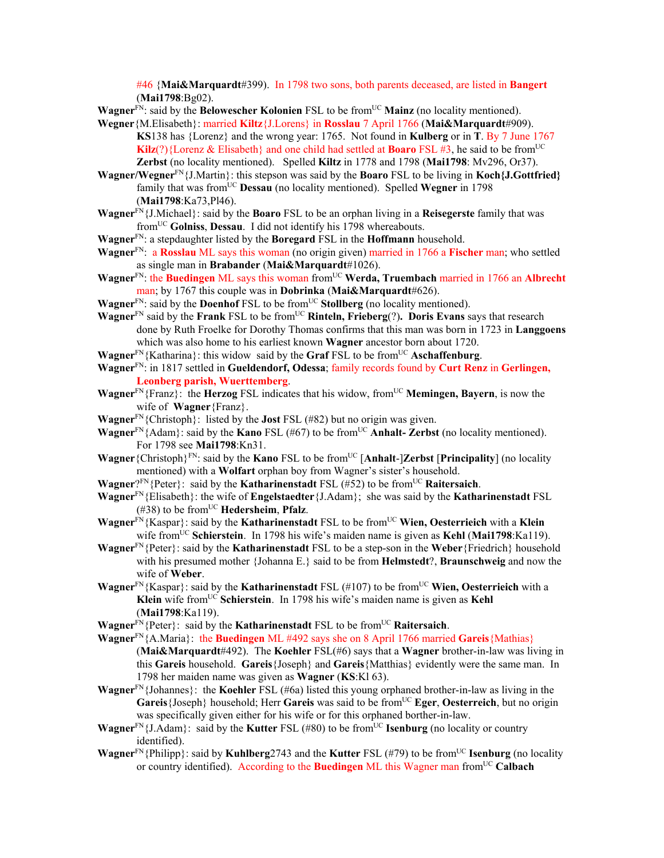#46 {**Mai&Marquardt**#399). In 1798 two sons, both parents deceased, are listed in **Bangert** (**Mai1798**:Bg02).

**Wagner**<sup>FN</sup>: said by the **Belowescher Kolonien** FSL to be from<sup>UC</sup> Mainz (no locality mentioned).

- **Wegner**{M.Elisabeth}: married **Kiltz**{J.Lorens} in **Rosslau** 7 April 1766 (**Mai&Marquardt**#909). **KS**138 has {Lorenz} and the wrong year: 1765. Not found in **Kulberg** or in **T**. By 7 June 1767 **Kilz**(?){Lorenz & Elisabeth} and one child had settled at **Boaro** FSL #3, he said to be from<sup>UC</sup> **Zerbst** (no locality mentioned). Spelled **Kiltz** in 1778 and 1798 (**Mai1798**: Mv296, Or37).
- **Wagner/Wegner**FN{J.Martin}: this stepson was said by the **Boaro** FSL to be living in **Koch{J.Gottfried}** family that was from<sup>UC</sup> Dessau (no locality mentioned). Spelled Wegner in 1798 (**Mai1798**:Ka73,Pl46).
- **Wagner**FN{J.Michael}: said by the **Boaro** FSL to be an orphan living in a **Reisegerste** family that was fromUC **Golniss**, **Dessau**. I did not identify his 1798 whereabouts.
- **Wagner**FN: a stepdaughter listed by the **Boregard** FSL in the **Hoffmann** household.
- **Wagner**FN: a **Rosslau** ML says this woman (no origin given) married in 1766 a **Fischer** man; who settled as single man in **Brabander** (**Mai&Marquardt**#1026).
- **Wagner**FN: the **Buedingen** ML says this woman fromUC **Werda, Truembach** married in 1766 an **Albrecht** man; by 1767 this couple was in **Dobrinka** (**Mai&Marquardt**#626).
- **Wagner**<sup>FN</sup>: said by the **Doenhof** FSL to be from<sup>UC</sup> Stollberg (no locality mentioned).

**Wagner**FN said by the **Frank** FSL to be fromUC **Rinteln, Frieberg**(?)**. Doris Evans** says that research done by Ruth Froelke for Dorothy Thomas confirms that this man was born in 1723 in **Langgoens** which was also home to his earliest known **Wagner** ancestor born about 1720.

**Wagner**<sup>FN</sup>{Katharina}: this widow said by the **Graf** FSL to be from<sup>UC</sup> **Aschaffenburg**.

**Wagner**FN: in 1817 settled in **Gueldendorf, Odessa**; family records found by **Curt Renz** in **Gerlingen, Leonberg parish, Wuerttemberg**.

- **Wagner**<sup>FN</sup>{Franz}: the **Herzog** FSL indicates that his widow, from<sup>UC</sup> **Memingen, Bayern**, is now the wife of **Wagner**{Franz}.
- **Wagner**FN{Christoph}: listed by the **Jost** FSL (#82) but no origin was given.

**Wagner**<sup>FN</sup>{Adam}: said by the **Kano** FSL (#67) to be from<sup>UC</sup> **Anhalt- Zerbst** (no locality mentioned). For 1798 see **Mai1798**:Kn31.

- **Wagner**{Christoph}<sup>FN</sup>: said by the **Kano** FSL to be from<sup>UC</sup> [Anhalt-]Zerbst [Principality] (no locality mentioned) with a **Wolfart** orphan boy from Wagner's sister's household.
- **Wagner**?<sup>FN</sup>{Peter}: said by the **Katharinenstadt** FSL (#52) to be from<sup>UC</sup> **Raitersaich**.

**Wagner**FN{Elisabeth}: the wife of **Engelstaedter**{J.Adam}; she was said by the **Katharinenstadt** FSL (#38) to be fromUC **Hedersheim**, **Pfalz**.

**Wagner**<sup>FN</sup>{Kaspar}: said by the **Katharinenstadt** FSL to be from<sup>UC</sup> **Wien, Oesterrieich** with a **Klein** wife fromUC **Schierstein**. In 1798 his wife's maiden name is given as **Kehl** (**Mai1798**:Ka119).

**Wagner**FN{Peter}: said by the **Katharinenstadt** FSL to be a step-son in the **Weber**{Friedrich} household with his presumed mother {Johanna E.} said to be from **Helmstedt**?, **Braunschweig** and now the wife of **Weber**.

**Wagner**<sup>FN</sup>{Kaspar}: said by the **Katharinenstadt** FSL (#107) to be from<sup>UC</sup> **Wien, Oesterrieich** with a **Klein** wife fromUC **Schierstein**. In 1798 his wife's maiden name is given as **Kehl** (**Mai1798**:Ka119).

**Wagner**<sup>FN</sup>{Peter}: said by the **Katharinenstadt** FSL to be from<sup>UC</sup> **Raitersaich**.

**Wagner**FN{A.Maria}: the **Buedingen** ML #492 says she on 8 April 1766 married **Gareis**{Mathias} (**Mai&Marquardt**#492). The **Koehler** FSL(#6) says that a **Wagner** brother-in-law was living in this **Gareis** household. **Gareis**{Joseph} and **Gareis**{Matthias} evidently were the same man. In 1798 her maiden name was given as **Wagner** (**KS**:Kl 63).

- **Wagner**FN{Johannes}: the **Koehler** FSL (#6a) listed this young orphaned brother-in-law as living in the **Gareis** {Joseph} household; Herr **Gareis** was said to be from<sup>UC</sup> **Eger**, **Oesterreich**, but no origin was specifically given either for his wife or for this orphaned borther-in-law.
- **Wagner**<sup>FN</sup>{J.Adam}: said by the **Kutter** FSL (#80) to be from<sup>UC</sup> **Isenburg** (no locality or country identified).
- **Wagner**<sup>FN</sup>{Philipp}: said by **Kuhlberg**2743 and the **Kutter** FSL (#79) to be from<sup>UC</sup> **Isenburg** (no locality or country identified). According to the **Buedingen** ML this Wagner man from<sup>UC</sup> Calbach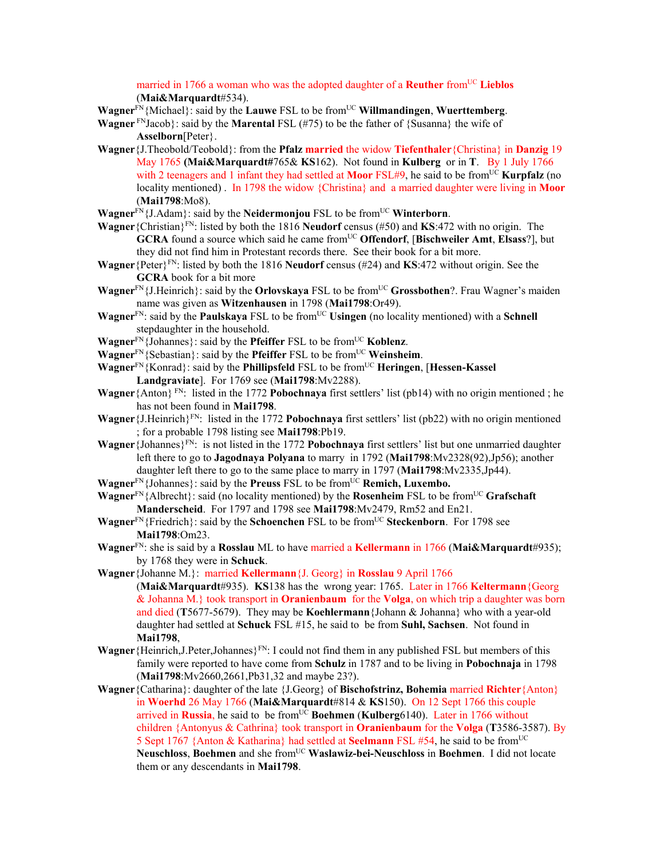married in 1766 a woman who was the adopted daughter of a **Reuther** from<sup>UC</sup> Lieblos (**Mai&Marquardt**#534).

**Wagner**FN{Michael}: said by the **Lauwe** FSL to be fromUC **Willmandingen**, **Wuerttemberg**.

- **Wagner**  $F_N$ Jacob}: said by the **Marental** FSL (#75) to be the father of {Susanna} the wife of **Asselborn**[Peter}.
- **Wagner**{J.Theobold/Teobold}: from the **Pfalz married** the widow **Tiefenthaler**{Christina} in **Danzig** 19 May 1765 **(Mai&Marquardt#**765& **KS**162). Not found in **Kulberg** or in **T**. By 1 July 1766 with 2 teenagers and 1 infant they had settled at **Moor** FSL#9, he said to be from<sup>UC</sup> **Kurpfalz** (no locality mentioned) . In 1798 the widow {Christina} and a married daughter were living in **Moor**  (**Mai1798**:Mo8).
- **Wagner**<sup>FN</sup>{J.Adam}: said by the **Neidermonjou** FSL to be from<sup>UC</sup> **Winterborn**.
- **Wagner**{Christian}FN: listed by both the 1816 **Neudorf** census (#50) and **KS**:472 with no origin. The **GCRA** found a source which said he came from<sup>UC</sup> Offendorf, [Bischweiler Amt, Elsass?], but they did not find him in Protestant records there. See their book for a bit more.
- **Wagner**{Peter}FN: listed by both the 1816 **Neudorf** census (#24) and **KS**:472 without origin. See the **GCRA** book for a bit more
- **Wagner**<sup>FN</sup>{J.Heinrich}: said by the **Orlovskaya** FSL to be from<sup>UC</sup> **Grossbothen**?. Frau Wagner's maiden name was given as **Witzenhausen** in 1798 (**Mai1798**:Or49).
- **Wagner**<sup>FN</sup>: said by the **Paulskaya** FSL to be from<sup>UC</sup> Usingen (no locality mentioned) with a **Schnell** stepdaughter in the household.
- **Wagner**FN{Johannes}: said by the **Pfeiffer** FSL to be fromUC **Koblenz**.
- **Wagner**FN{Sebastian}: said by the **Pfeiffer** FSL to be fromUC **Weinsheim**.
- **Wagner**<sup>FN</sup>{Konrad}: said by the **Phillipsfeld** FSL to be from<sup>UC</sup> **Heringen**, [**Hessen-Kassel Landgraviate**]. For 1769 see (**Mai1798**:Mv2288).
- **Wagner**{Anton} FN: listed in the 1772 **Pobochnaya** first settlers' list (pb14) with no origin mentioned ; he has not been found in **Mai1798**.
- **Wagner**{J.Heinrich}FN: listed in the 1772 **Pobochnaya** first settlers' list (pb22) with no origin mentioned ; for a probable 1798 listing see **Mai1798**:Pb19.
- **Wagner**{Johannes}FN: is not listed in the 1772 **Pobochnaya** first settlers' list but one unmarried daughter left there to go to **Jagodnaya Polyana** to marry in 1792 (**Mai1798**:Mv2328(92),Jp56); another daughter left there to go to the same place to marry in 1797 (**Mai1798**:Mv2335,Jp44).
- **Wagner**<sup>FN</sup>{Johannes}: said by the **Preuss** FSL to be from<sup>UC</sup> **Remich, Luxembo.**
- **Wagner**<sup>FN</sup>{Albrecht}: said (no locality mentioned) by the **Rosenheim** FSL to be from<sup>UC</sup> **Grafschaft Manderscheid**. For 1797 and 1798 see **Mai1798**:Mv2479, Rm52 and En21.
- **Wagner**<sup>FN</sup>{Friedrich}: said by the **Schoenchen** FSL to be from<sup>UC</sup> **Steckenborn**. For 1798 see **Mai1798**:Om23.
- **Wagner**FN: she is said by a **Rosslau** ML to have married a **Kellermann** in 1766 (**Mai&Marquardt**#935); by 1768 they were in **Schuck**.
- **Wagner**{Johanne M.}: married **Kellermann**{J. Georg} in **Rosslau** 9 April 1766 (**Mai&Marquardt**#935). **KS**138 has the wrong year: 1765. Later in 1766 **Keltermann**{Georg & Johanna M.} took transport in **Oranienbaum** for the **Volga**, on which trip a daughter was born and died (**T**5677-5679). They may be **Koehlermann**{Johann & Johanna} who with a year-old daughter had settled at **Schuck** FSL #15, he said to be from **Suhl, Sachsen**. Not found in **Mai1798**,
- **Wagner** {Heinrich, J.Peter, Johannes}<sup>FN</sup>: I could not find them in any published FSL but members of this family were reported to have come from **Schulz** in 1787 and to be living in **Pobochnaja** in 1798 (**Mai1798**:Mv2660,2661,Pb31,32 and maybe 23?).
- **Wagner**{Catharina}: daughter of the late {J.Georg} of **Bischofstrinz, Bohemia** married **Richter**{Anton} in **Woerhd** 26 May 1766 (**Mai&Marquardt**#814 & **KS**150). On 12 Sept 1766 this couple arrived in Russia, he said to be from<sup>UC</sup> Boehmen (Kulberg6140). Later in 1766 without children {Antonyus & Cathrina} took transport in **Oranienbaum** for the **Volga** (**T**3586-3587). By 5 Sept 1767 {Anton & Katharina} had settled at **Seelmann** FSL #54, he said to be fromUC **Neuschloss**, **Boehmen** and she fromUC **Waslawiz-bei-Neuschloss** in **Boehmen**. I did not locate them or any descendants in **Mai1798**.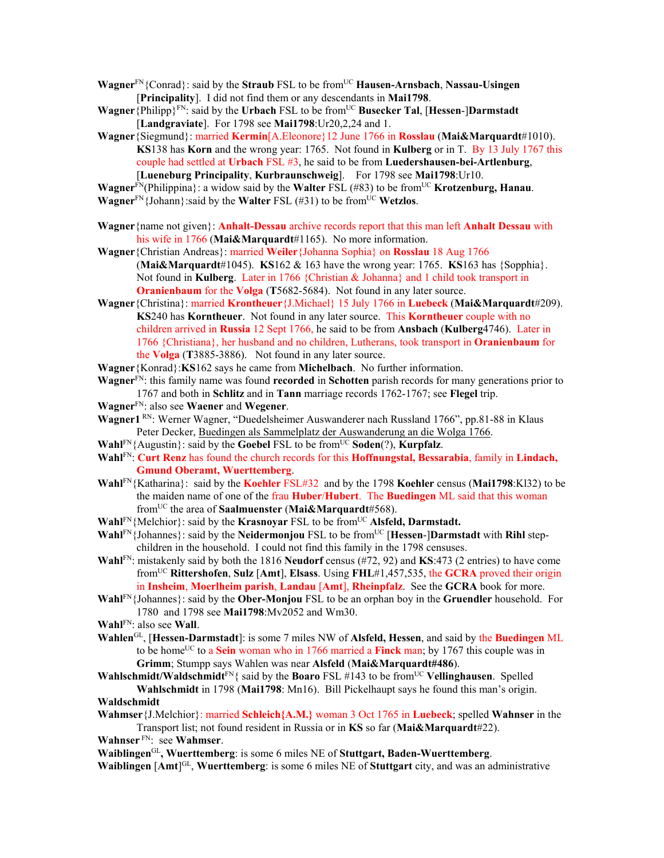- **Wagner**<sup>FN</sup>{Conrad}: said by the **Straub** FSL to be from<sup>UC</sup> **Hausen-Arnsbach**, **Nassau-Usingen** [**Principality**]. I did not find them or any descendants in **Mai1798**.
- **Wagner**{Philipp}<sup>FN</sup>: said by the **Urbach** FSL to be from<sup>UC</sup> **Busecker Tal**, [Hessen-]Darmstadt [**Landgraviate**]. For 1798 see **Mai1798**:Ur20,2,24 and 1.
- **Wagner**{Siegmund}: married **Kermin**[A.Eleonore}12 June 1766 in **Rosslau** (**Mai&Marquardt**#1010). **KS**138 has **Korn** and the wrong year: 1765. Not found in **Kulberg** or in T. By 13 July 1767 this couple had settled at **Urbach** FSL #3, he said to be from **Luedershausen-bei-Artlenburg**, [**Lueneburg Principality**, **Kurbraunschweig**]. For 1798 see **Mai1798**:Ur10.

**Wagner**FN(Philippina}: a widow said by the **Walter** FSL (#83) to be fromUC **Krotzenburg, Hanau**.

- **Wagner**<sup>FN</sup>{Johann}:said by the **Walter** FSL (#31) to be from<sup>UC</sup> **Wetzlos**.
- **Wagner**{name not given}: **Anhalt-Dessau** archive records report that this man left **Anhalt Dessau** with his wife in 1766 (Mai&Marquardt#1165). No more information.
- **Wagner**{Christian Andreas}: married **Weiler**{Johanna Sophia} on **Rosslau** 18 Aug 1766 (**Mai&Marquardt**#1045). **KS**162 & 163 have the wrong year: 1765. **KS**163 has {Sopphia}. Not found in **Kulberg**. Later in 1766 {Christian & Johanna} and 1 child took transport in **Oranienbaum** for the **Volga** (**T**5682-5684). Not found in any later source.
- **Wagner**{Christina}: married **Krontheuer**{J.Michael} 15 July 1766 in **Luebeck** (**Mai&Marquardt**#209). **KS**240 has **Korntheuer**. Not found in any later source. This **Korntheuer** couple with no children arrived in **Russia** 12 Sept 1766, he said to be from **Ansbach** (**Kulberg**4746). Later in 1766 {Christiana}, her husband and no children, Lutherans, took transport in **Oranienbaum** for the **Volga** (**T**3885-3886). Not found in any later source.
- **Wagner**{Konrad}:**KS**162 says he came from **Michelbach**. No further information.
- **Wagner**FN: this family name was found **recorded** in **Schotten** parish records for many generations prior to 1767 and both in **Schlitz** and in **Tann** marriage records 1762-1767; see **Flegel** trip.
- **Wagner**FN: also see **Waener** and **Wegener**.
- **Wagner1** RN: Werner Wagner, "Duedelsheimer Auswanderer nach Russland 1766", pp.81-88 in Klaus Peter Decker, Buedingen als Sammelplatz der Auswanderung an die Wolga 1766.
- **Wahl** $\text{FN}$ {Augustin}: said by the **Goebel** FSL to be from<sup>UC</sup> **Soden**(?), **Kurpfalz**.
- **Wahl**FN: **Curt Renz** has found the church records for this **Hoffnungstal, Bessarabia**, family in **Lindach, Gmund Oberamt, Wuerttemberg**.
- **Wahl**FN{Katharina}: said by the **Koehler** FSL#32 and by the 1798 **Koehler** census (**Mai1798**:Kl32) to be the maiden name of one of the frau **Huber**/**Hubert**. The **Buedingen** ML said that this woman fromUC the area of **Saalmuenster** (**Mai&Marquardt**#568).
- **Wahl**FN{Melchior}: said by the **Krasnoyar** FSL to be from<sup>UC</sup> **Alsfeld, Darmstadt.**
- **Wahl<sup>FN</sup>**{Johannes}: said by the **Neidermonjou** FSL to be from<sup>UC</sup> [**Hessen-**]Darmstadt with **Rihl** stepchildren in the household. I could not find this family in the 1798 censuses.
- **Wahl**FN: mistakenly said by both the 1816 **Neudorf** census (#72, 92) and **KS**:473 (2 entries) to have come fromUC **Rittershofen**, **Sulz** [**Amt**], **Elsass**. Using **FHL**#1,457,535, the **GCRA** proved their origin in **Insheim**, **Moerlheim parish**, **Landau** [**Amt**], **Rheinpfalz**. See the **GCRA** book for more.
- **Wahl**FN{Johannes}: said by the **Ober-Monjou** FSL to be an orphan boy in the **Gruendler** household. For 1780 and 1798 see **Mai1798**:Mv2052 and Wm30.
- **Wahl**FN: also see **Wall**.
- **Wahlen**GL, [**Hessen-Darmstadt**]: is some 7 miles NW of **Alsfeld, Hessen**, and said by the **Buedingen** ML to be home<sup>UC</sup> to a **Sein** woman who in 1766 married a **Finck** man; by 1767 this couple was in **Grimm**; Stumpp says Wahlen was near **Alsfeld** (**Mai&Marquardt#486**).
- **Wahlschmidt/Waldschmidt**<sup>FN</sup>{ said by the **Boaro** FSL #143 to be from<sup>UC</sup> **Vellinghausen**. Spelled
- **Wahlschmidt** in 1798 (**Mai1798**: Mn16). Bill Pickelhaupt says he found this man's origin. **Waldschmidt**
- **Wahmser**{J.Melchior}: married **Schleich{A.M.}** woman 3 Oct 1765 in **Luebeck**; spelled **Wahnser** in the Transport list; not found resident in Russia or in **KS** so far (**Mai&Marquardt**#22).
- **Wahnser** FN: see **Wahmser**.

**Waiblingen**GL**, Wuerttemberg**: is some 6 miles NE of **Stuttgart, Baden-Wuerttemberg**.

**Waiblingen** [**Amt**] GL, **Wuerttemberg**: is some 6 miles NE of **Stuttgart** city, and was an administrative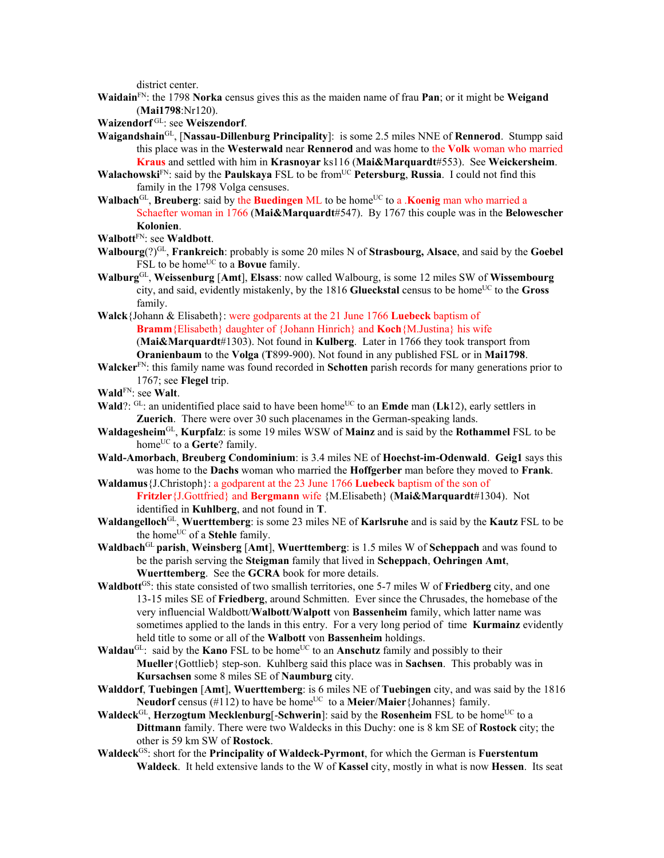district center.

- **Waidain**FN: the 1798 **Norka** census gives this as the maiden name of frau **Pan**; or it might be **Weigand** (**Mai1798**:Nr120).
- **Waizendorf** GL: see **Weiszendorf**.

**Waigandshain**GL, [**Nassau-Dillenburg Principality**]: is some 2.5 miles NNE of **Rennerod**. Stumpp said this place was in the **Westerwald** near **Rennerod** and was home to the **Volk** woman who married **Kraus** and settled with him in **Krasnoyar** ks116 (**Mai&Marquardt**#553). See **Weickersheim**.

- **Walachowski**FN: said by the **Paulskaya** FSL to be from<sup>UC</sup> **Petersburg**, **Russia**. I could not find this family in the 1798 Volga censuses.
- **Walbach**<sup>GL</sup>, **Breuberg**: said by the **Buedingen** ML to be home<sup>UC</sup> to a .**Koenig** man who married a Schaefter woman in 1766 (**Mai&Marquardt**#547). By 1767 this couple was in the **Belowescher Kolonien**.

**Walbott**FN: see **Waldbott**.

- **Walbourg**(?)GL, **Frankreich**: probably is some 20 miles N of **Strasbourg, Alsace**, and said by the **Goebel** FSL to be home<sup>UC</sup> to a **Bovue** family.
- **Walburg**GL, **Weissenburg** [**Amt**], **Elsass**: now called Walbourg, is some 12 miles SW of **Wissembourg** city, and said, evidently mistakenly, by the  $1816$  **Glueckstal** census to be home<sup>UC</sup> to the **Gross** family.
- **Walck**{Johann & Elisabeth}: were godparents at the 21 June 1766 **Luebeck** baptism of **Bramm**{Elisabeth} daughter of {Johann Hinrich} and **Koch**{M.Justina} his wife (**Mai&Marquardt**#1303). Not found in **Kulberg**. Later in 1766 they took transport from **Oranienbaum** to the **Volga** (**T**899-900). Not found in any published FSL or in **Mai1798**.
- **Walcker**<sup>FN</sup>: this family name was found recorded in **Schotten** parish records for many generations prior to 1767; see **Flegel** trip.
- **Wald**FN: see **Walt**.
- **Wald**?:  $GL:$  an unidentified place said to have been home<sup>UC</sup> to an **Emde** man (**Lk**12), early settlers in **Zuerich**. There were over 30 such placenames in the German-speaking lands.
- **Waldagesheim**GL, **Kurpfalz**: is some 19 miles WSW of **Mainz** and is said by the **Rothammel** FSL to be home<sup>UC</sup> to a **Gerte**? family.
- **Wald-Amorbach**, **Breuberg Condominium**: is 3.4 miles NE of **Hoechst-im-Odenwald**. **Geig1** says this was home to the **Dachs** woman who married the **Hoffgerber** man before they moved to **Frank**. **Waldamus**{J.Christoph}: a godparent at the 23 June 1766 **Luebeck** baptism of the son of

**Fritzler**{J.Gottfried} and **Bergmann** wife {M.Elisabeth} (**Mai&Marquardt**#1304). Not identified in **Kuhlberg**, and not found in **T**.

- **Waldangelloch**GL, **Wuerttemberg**: is some 23 miles NE of **Karlsruhe** and is said by the **Kautz** FSL to be the home<sup>UC</sup> of a **Stehle** family.
- **Waldbach**GL **parish**, **Weinsberg** [**Amt**], **Wuerttemberg**: is 1.5 miles W of **Scheppach** and was found to be the parish serving the **Steigman** family that lived in **Scheppach**, **Oehringen Amt**, **Wuerttemberg**. See the **GCRA** book for more details.
- **Waldbott**GS: this state consisted of two smallish territories, one 5-7 miles W of **Friedberg** city, and one 13-15 miles SE of **Friedberg**, around Schmitten. Ever since the Chrusades, the homebase of the very influencial Waldbott/**Walbott**/**Walpott** von **Bassenheim** family, which latter name was sometimes applied to the lands in this entry. For a very long period of time **Kurmainz** evidently held title to some or all of the **Walbott** von **Bassenheim** holdings.
- **Waldau**<sup>GL</sup>: said by the **Kano** FSL to be home<sup>UC</sup> to an **Anschutz** family and possibly to their **Mueller**{Gottlieb} step-son. Kuhlberg said this place was in **Sachsen**. This probably was in **Kursachsen** some 8 miles SE of **Naumburg** city.
- **Walddorf**, **Tuebingen** [**Amt**], **Wuerttemberg**: is 6 miles NE of **Tuebingen** city, and was said by the 1816 **Neudorf** census (#112) to have be home<sup>UC</sup> to a **Meier/Maier** {Johannes} family.
- **Waldeck**<sup>GL</sup>, **Herzogtum Mecklenburg**[-**Schwerin**]: said by the **Rosenheim** FSL to be home<sup>UC</sup> to a **Dittmann** family. There were two Waldecks in this Duchy: one is 8 km SE of **Rostock** city; the other is 59 km SW of **Rostock**.
- **Waldeck**GS: short for the **Principality of Waldeck-Pyrmont**, for which the German is **Fuerstentum Waldeck**. It held extensive lands to the W of **Kassel** city, mostly in what is now **Hessen**. Its seat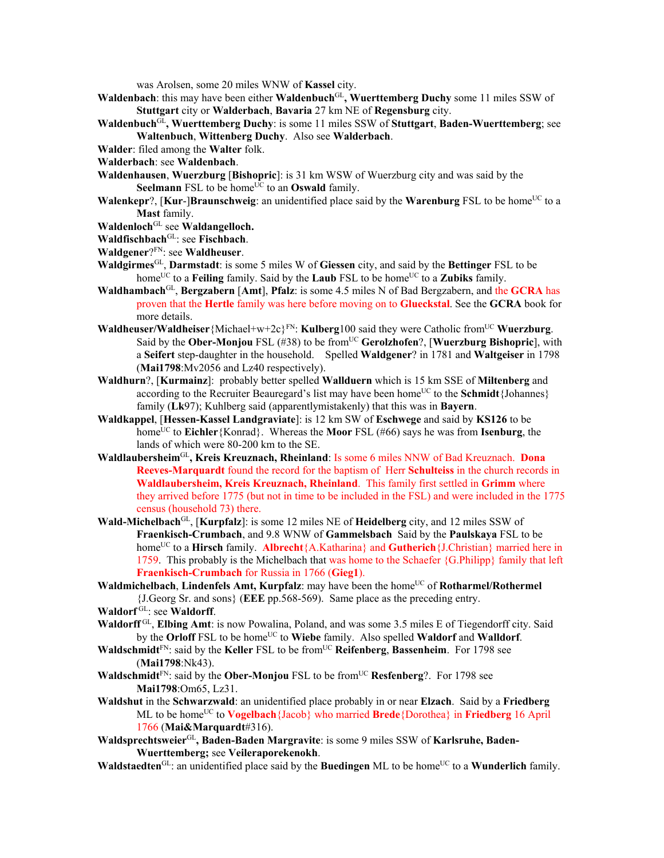was Arolsen, some 20 miles WNW of **Kassel** city.

- **Waldenbach**: this may have been either **Waldenbuch**GL**, Wuerttemberg Duchy** some 11 miles SSW of **Stuttgart** city or **Walderbach**, **Bavaria** 27 km NE of **Regensburg** city.
- **Waldenbuch**GL**, Wuerttemberg Duchy**: is some 11 miles SSW of **Stuttgart**, **Baden-Wuerttemberg**; see **Waltenbuch**, **Wittenberg Duchy**. Also see **Walderbach**.
- **Walder**: filed among the **Walter** folk.
- **Walderbach**: see **Waldenbach**.
- **Waldenhausen**, **Wuerzburg** [**Bishopric**]: is 31 km WSW of Wuerzburg city and was said by the **Seelmann** FSL to be home<sup>UC</sup> to an **Oswald** family.
- **Walenkepr**?, [**Kur-**]**Braunschweig**: an unidentified place said by the **Warenburg** FSL to be home<sup>UC</sup> to a **Mast** family.
- **Waldenloch**GL see **Waldangelloch.**
- Waldfischbach<sup>GL</sup>: see Fischbach.
- **Waldgener**?FN: see **Waldheuser**.
- **Waldgirmes**GL, **Darmstadt**: is some 5 miles W of **Giessen** city, and said by the **Bettinger** FSL to be home<sup>UC</sup> to a **Feiling** family. Said by the **Laub** FSL to be home<sup>UC</sup> to a **Zubiks** family.
- **Waldhambach**GL, **Bergzabern** [**Amt**], **Pfalz**: is some 4.5 miles N of Bad Bergzabern, and the **GCRA** has proven that the **Hertle** family was here before moving on to **Glueckstal**. See the **GCRA** book for more details.
- **Waldheuser/Waldheiser** {Michael+w+2c}<sup>FN</sup>: **Kulberg**100 said they were Catholic from<sup>UC</sup> **Wuerzburg**. Said by the **Ober-Monjou** FSL (#38) to be fromUC **Gerolzhofen**?, [**Wuerzburg Bishopric**], with a **Seifert** step-daughter in the household. Spelled **Waldgener**? in 1781 and **Waltgeiser** in 1798 (**Mai1798**:Mv2056 and Lz40 respectively).
- **Waldhurn**?, [**Kurmainz**]: probably better spelled **Wallduern** which is 15 km SSE of **Miltenberg** and according to the Recruiter Beauregard's list may have been home<sup>UC</sup> to the **Schmidt** $\{Johnnes\}$ family (**Lk**97); Kuhlberg said (apparentlymistakenly) that this was in **Bayern**.
- **Waldkappel**, [**Hessen-Kassel Landgraviate**]: is 12 km SW of **Eschwege** and said by **KS126** to be home<sup>UC</sup> to **Eichler**{Konrad}. Whereas the **Moor** FSL (#66) says he was from **Isenburg**, the lands of which were 80-200 km to the SE.
- **Waldlaubersheim**GL**, Kreis Kreuznach, Rheinland**: Is some 6 miles NNW of Bad Kreuznach. **Dona Reeves-Marquardt** found the record for the baptism of Herr **Schulteiss** in the church records in **Waldlaubersheim, Kreis Kreuznach, Rheinland**. This family first settled in **Grimm** where they arrived before 1775 (but not in time to be included in the FSL) and were included in the 1775 census (household 73) there.
- **Wald-Michelbach**GL, [**Kurpfalz**]: is some 12 miles NE of **Heidelberg** city, and 12 miles SSW of **Fraenkisch-Crumbach**, and 9.8 WNW of **Gammelsbach** Said by the **Paulskaya** FSL to be homeUC to a **Hirsch** family. **Albrecht**{A.Katharina} and **Gutherich**{J.Christian} married here in 1759. This probably is the Michelbach that was home to the Schaefer {G.Philipp} family that left **Fraenkisch-Crumbach** for Russia in 1766 (**Gieg1**).
- **Waldmichelbach, Lindenfels Amt, Kurpfalz**: may have been the home<sup>UC</sup> of **Rotharmel/Rothermel** {J.Georg Sr. and sons} (**EEE** pp.568-569). Same place as the preceding entry.
- Waldorf<sup>GL</sup>: see Waldorff.
- **Waldorff** GL, **Elbing Amt**: is now Powalina, Poland, and was some 3.5 miles E of Tiegendorff city. Said by the **Orloff** FSL to be home<sup>UC</sup> to **Wiebe** family. Also spelled **Waldorf** and **Walldorf**.
- **Waldschmidt**FN: said by the **Keller** FSL to be fromUC **Reifenberg**, **Bassenheim**. For 1798 see (**Mai1798**:Nk43).
- **Waldschmidt**<sup>FN</sup>: said by the **Ober-Monjou** FSL to be from<sup>UC</sup> **Resfenberg**?. For 1798 see **Mai1798**:Om65, Lz31.
- **Waldshut** in the **Schwarzwald**: an unidentified place probably in or near **Elzach**. Said by a **Friedberg** ML to be home<sup>UC</sup> to **Vogelbach**{Jacob} who married **Brede**{Dorothea} in **Friedberg** 16 April 1766 (**Mai&Marquardt**#316).
- **Waldsprechtsweier**GL**, Baden-Baden Margravite**: is some 9 miles SSW of **Karlsruhe, Baden-Wuerttemberg;** see **Veileraporekenokh**.
- **Waldstaedten**<sup>GL</sup>: an unidentified place said by the **Buedingen** ML to be home<sup>UC</sup> to a **Wunderlich** family.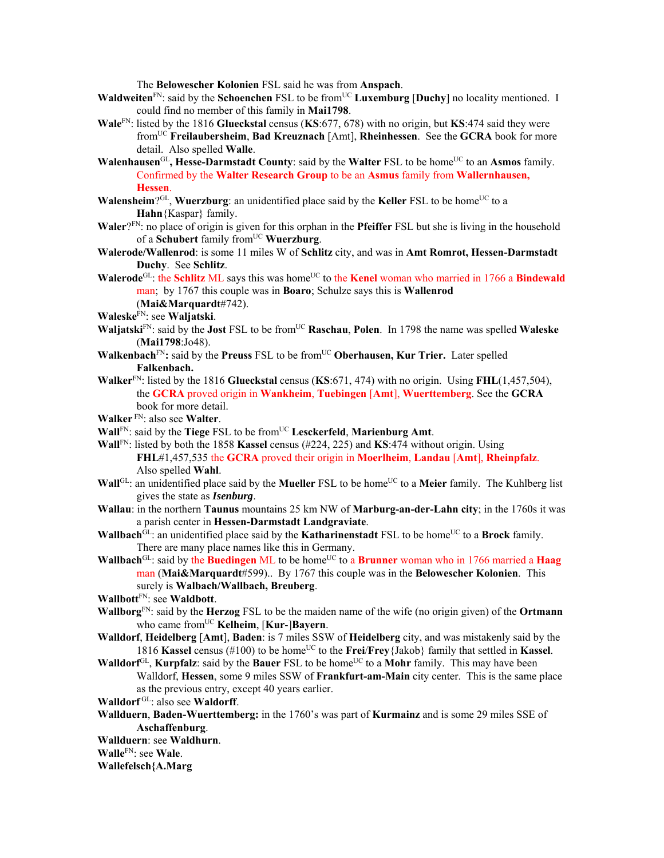The **Belowescher Kolonien** FSL said he was from **Anspach**.

- **Waldweiten**<sup>FN</sup>: said by the **Schoenchen** FSL to be from<sup>UC</sup> **Luxemburg** [Duchy] no locality mentioned. I could find no member of this family in **Mai1798**.
- **Wale**FN: listed by the 1816 **Glueckstal** census (**KS**:677, 678) with no origin, but **KS**:474 said they were fromUC **Freilaubersheim**, **Bad Kreuznach** [Amt], **Rheinhessen**. See the **GCRA** book for more detail. Also spelled **Walle**.
- **Walenhausen**<sup>GL</sup>, Hesse-Darmstadt County: said by the Walter FSL to be home<sup>UC</sup> to an Asmos family. Confirmed by the **Walter Research Group** to be an **Asmus** family from **Wallernhausen, Hessen**.
- **Walensheim**?<sup>GL</sup>, **Wuerzburg**: an unidentified place said by the **Keller** FSL to be home<sup>UC</sup> to a **Hahn**{Kaspar} family.
- **Waler**?FN: no place of origin is given for this orphan in the **Pfeiffer** FSL but she is living in the household of a **Schubert** family from<sup>UC</sup> **Wuerzburg**.
- **Walerode/Wallenrod**: is some 11 miles W of **Schlitz** city, and was in **Amt Romrot, Hessen-Darmstadt Duchy**. See **Schlitz**.
- **Walerode**<sup>GL</sup>: the **Schlitz** ML says this was home<sup>UC</sup> to the **Kenel** woman who married in 1766 a **Bindewald** man; by 1767 this couple was in **Boaro**; Schulze says this is **Wallenrod**
	- (**Mai&Marquardt**#742).
- **Waleske**FN: see **Waljatski**.
- **Waljatski**<sup>FN</sup>: said by the **Jost** FSL to be from<sup>UC</sup> **Raschau**, **Polen**. In 1798 the name was spelled **Waleske** (**Mai1798**:Jo48).
- **Walkenbach**<sup>FN</sup>: said by the **Preuss** FSL to be from<sup>UC</sup> **Oberhausen, Kur Trier.** Later spelled **Falkenbach.**
- **Walker**FN: listed by the 1816 **Glueckstal** census (**KS**:671, 474) with no origin. Using **FHL**(1,457,504), the **GCRA** proved origin in **Wankheim**, **Tuebingen** [**Amt**], **Wuerttemberg**. See the **GCRA** book for more detail.
- **Walker** FN: also see **Walter**.
- **Wall**FN: said by the **Tiege** FSL to be fromUC **Lesckerfeld**, **Marienburg Amt**.
- **Wall**FN: listed by both the 1858 **Kassel** census (#224, 225) and **KS**:474 without origin. Using **FHL**#1,457,535 the **GCRA** proved their origin in **Moerlheim**, **Landau** [**Amt**], **Rheinpfalz**. Also spelled **Wahl**.
- **Wall**<sup>GL</sup>: an unidentified place said by the **Mueller** FSL to be home<sup>UC</sup> to a **Meier** family. The Kuhlberg list gives the state as *Isenburg*.
- **Wallau**: in the northern **Taunus** mountains 25 km NW of **Marburg-an-der-Lahn city**; in the 1760s it was a parish center in **Hessen-Darmstadt Landgraviate**.
- **Wallbach**<sup>GL</sup>: an unidentified place said by the **Katharinenstadt** FSL to be home<sup>UC</sup> to a **Brock** family. There are many place names like this in Germany.
- **Wallbach**<sup>GL</sup>: said by the **Buedingen** ML to be home<sup>UC</sup> to a **Brunner** woman who in 1766 married a **Haag** man (**Mai&Marquardt**#599).. By 1767 this couple was in the **Belowescher Kolonien**. This surely is **Walbach/Wallbach, Breuberg**.
- **Wallbott**FN: see **Waldbott**.
- **Wallborg**FN: said by the **Herzog** FSL to be the maiden name of the wife (no origin given) of the **Ortmann** who came fromUC **Kelheim**, [**Kur**-]**Bayern**.
- **Walldorf**, **Heidelberg** [**Amt**], **Baden**: is 7 miles SSW of **Heidelberg** city, and was mistakenly said by the 1816 **Kassel** census (#100) to be homeUC to the **Frei**/**Frey**{Jakob} family that settled in **Kassel**.
- **Walldorf**<sup>GL</sup>, **Kurpfalz**: said by the **Bauer** FSL to be home<sup>UC</sup> to a **Mohr** family. This may have been Walldorf, **Hessen**, some 9 miles SSW of **Frankfurt-am-Main** city center. This is the same place as the previous entry, except 40 years earlier.
- **Walldorf** GL: also see **Waldorff**.
- **Wallduern**, **Baden-Wuerttemberg:** in the 1760's was part of **Kurmainz** and is some 29 miles SSE of **Aschaffenburg**.
- **Wallduern**: see **Waldhurn**.
- **Walle**FN: see **Wale**.

## **Wallefelsch{A.Marg**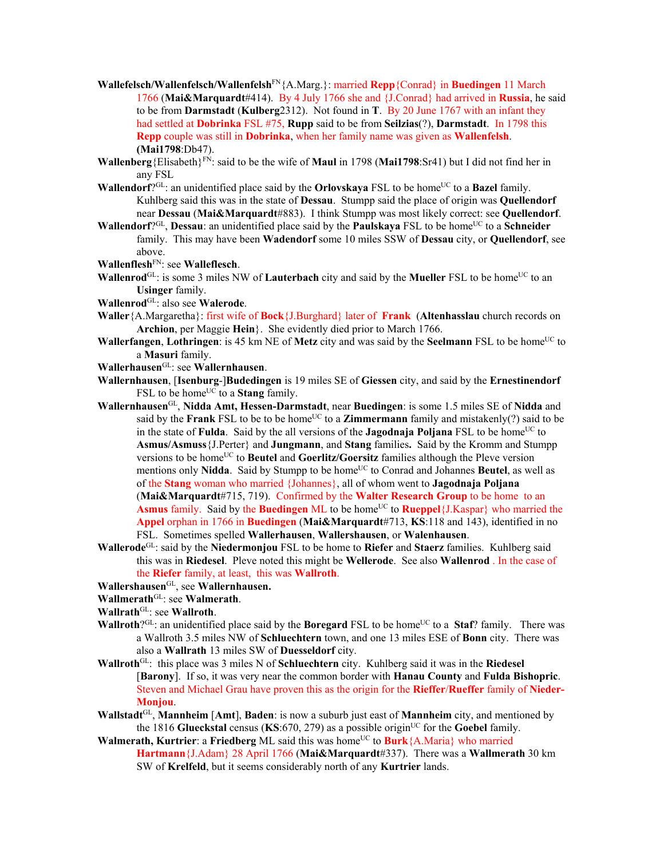- **Wallefelsch/Wallenfelsch/Wallenfelsh**FN{A.Marg.}: married **Repp**{Conrad} in **Buedingen** 11 March 1766 (**Mai&Marquardt**#414). By 4 July 1766 she and {J.Conrad} had arrived in **Russia**, he said to be from **Darmstadt** (**Kulberg**2312). Not found in **T**. By 20 June 1767 with an infant they had settled at **Dobrinka** FSL #75, **Rupp** said to be from **Seilzias**(?), **Darmstadt**. In 1798 this **Repp** couple was still in **Dobrinka**, when her family name was given as **Wallenfelsh**. **(Mai1798**:Db47).
- **Wallenberg**{Elisabeth}FN: said to be the wife of **Maul** in 1798 (**Mai1798**:Sr41) but I did not find her in any FSL
- **Wallendorf**?<sup>GL</sup>: an unidentified place said by the **Orlovskaya** FSL to be home<sup>UC</sup> to a **Bazel** family. Kuhlberg said this was in the state of **Dessau**. Stumpp said the place of origin was **Quellendorf**  near **Dessau** (**Mai&Marquardt**#883). I think Stumpp was most likely correct: see **Quellendorf**.
- **Wallendorf**?<sup>GL</sup>, **Dessau**: an unidentified place said by the **Paulskaya** FSL to be home<sup>UC</sup> to a **Schneider** family. This may have been **Wadendorf** some 10 miles SSW of **Dessau** city, or **Quellendorf**, see above.

**Wallenflesh**FN: see **Walleflesch**.

- **Wallenrod**<sup>GL</sup>: is some 3 miles NW of **Lauterbach** city and said by the **Mueller** FSL to be home<sup>UC</sup> to an **Usinger** family.
- **Wallenrod**GL: also see **Walerode**.
- **Waller**{A.Margaretha}: first wife of **Bock**{J.Burghard} later of **Frank** (**Altenhasslau** church records on **Archion**, per Maggie **Hein**}. She evidently died prior to March 1766.
- **Wallerfangen**, Lothringen: is 45 km NE of Metz city and was said by the Seelmann FSL to be home<sup>UC</sup> to a **Masuri** family.
- **Wallerhausen**GL: see **Wallernhausen**.
- **Wallernhausen**, [**Isenburg**-]**Budedingen** is 19 miles SE of **Giessen** city, and said by the **Ernestinendorf** FSL to be home<sup>UC</sup> to a **Stang** family.
- **Wallernhausen**GL, **Nidda Amt, Hessen-Darmstadt**, near **Buedingen**: is some 1.5 miles SE of **Nidda** and said by the **Frank** FSL to be to be home<sup>UC</sup> to a **Zimmermann** family and mistakenly(?) said to be in the state of **Fulda**. Said by the all versions of the **Jagodnaja Poljana** FSL to be home<sup>UC</sup> to **Asmus/Asmuss**{J.Perter} and **Jungmann**, and **Stang** families**.** Said by the Kromm and Stumpp versions to be home<sup>UC</sup> to **Beutel** and **Goerlitz/Goersitz** families although the Pleve version mentions only Nidda. Said by Stumpp to be home<sup>UC</sup> to Conrad and Johannes Beutel, as well as of the **Stang** woman who married {Johannes}, all of whom went to **Jagodnaja Poljana** (**Mai&Marquardt**#715, 719). Confirmed by the **Walter Research Group** to be home to an **Asmus** family. Said by the **Buedingen** ML to be home<sup>UC</sup> to **Rueppel**{J.Kaspar} who married the **Appel** orphan in 1766 in **Buedingen** (**Mai&Marquardt**#713, **KS**:118 and 143), identified in no FSL. Sometimes spelled **Wallerhausen**, **Wallershausen**, or **Walenhausen**.
- **Wallerode**GL: said by the **Niedermonjou** FSL to be home to **Riefer** and **Staerz** families. Kuhlberg said this was in **Riedesel**. Pleve noted this might be **Wellerode**. See also **Wallenrod** . In the case of the **Riefer** family, at least, this was **Wallroth**.
- **Wallershausen**GL, see **Wallernhausen.**
- **Wallmerath**GL: see **Walmerath**.
- **Wallrath**GL: see **Wallroth**.
- **Wallroth**?<sup>GL</sup>: an unidentified place said by the **Boregard** FSL to be home<sup>UC</sup> to a **Staf**? family. There was a Wallroth 3.5 miles NW of **Schluechtern** town, and one 13 miles ESE of **Bonn** city. There was also a **Wallrath** 13 miles SW of **Duesseldorf** city.
- **Wallroth**GL: this place was 3 miles N of **Schluechtern** city. Kuhlberg said it was in the **Riedesel** [**Barony**]. If so, it was very near the common border with **Hanau County** and **Fulda Bishopric**. Steven and Michael Grau have proven this as the origin for the **Rieffer**/**Rueffer** family of **Nieder-Monjou**.
- **Wallstadt**GL, **Mannheim** [**Amt**], **Baden**: is now a suburb just east of **Mannheim** city, and mentioned by the 1816 **Glueckstal** census ( $KS.670, 279$ ) as a possible origin<sup>UC</sup> for the **Goebel** family.
- **Walmerath, Kurtrier: a Friedberg ML** said this was home<sup>UC</sup> to **Burk** {A.Maria} who married **Hartmann**{J.Adam} 28 April 1766 (**Mai&Marquardt**#337). There was a **Wallmerath** 30 km SW of **Krelfeld**, but it seems considerably north of any **Kurtrier** lands.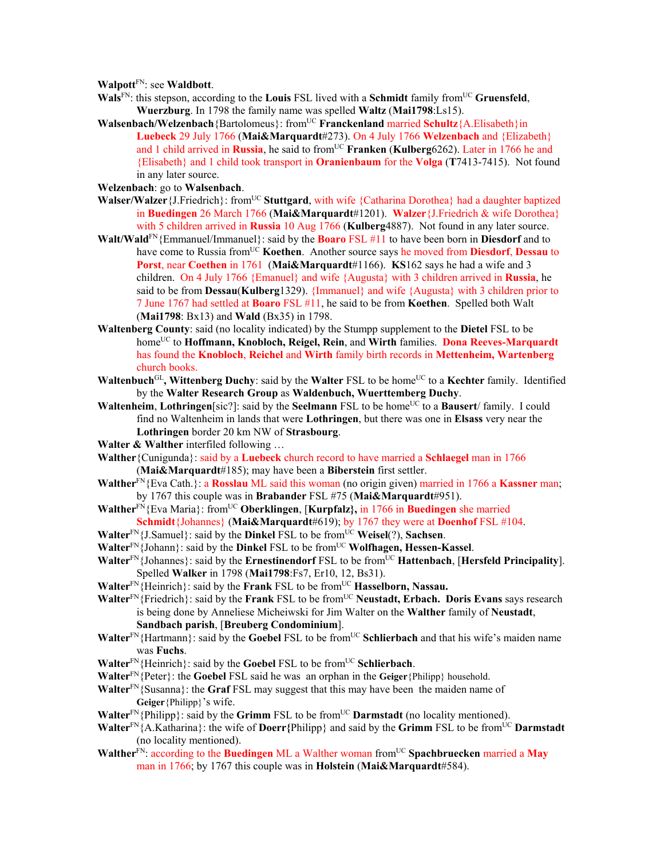**Walpott**FN: see **Waldbott**.

- **Wals**FN: this stepson, according to the **Louis** FSL lived with a **Schmidt** family fromUC **Gruensfeld**, **Wuerzburg**. In 1798 the family name was spelled **Waltz** (**Mai1798**:Ls15).
- **Walsenbach/Welzenbach**{Bartolomeus}: fromUC **Franckenland** married **Schultz**{A.Elisabeth}in **Luebeck** 29 July 1766 (**Mai&Marquardt**#273). On 4 July 1766 **Welzenbach** and {Elizabeth} and 1 child arrived in **Russia**, he said to from<sup>UC</sup> **Franken** (**Kulberg**6262). Later in 1766 he and {Elisabeth} and 1 child took transport in **Oranienbaum** for the **Volga** (**T**7413-7415). Not found in any later source.
- **Welzenbach**: go to **Walsenbach**.
- **Walser/Walzer** {J.Friedrich}: from<sup>UC</sup> **Stuttgard**, with wife {Catharina Dorothea} had a daughter baptized in **Buedingen** 26 March 1766 (**Mai&Marquardt**#1201). **Walzer**{J.Friedrich & wife Dorothea} with 5 children arrived in **Russia** 10 Aug 1766 (**Kulberg**4887). Not found in any later source.
- **Walt/Wald**FN{Emmanuel/Immanuel}: said by the **Boaro** FSL #11 to have been born in **Diesdorf** and to have come to Russia fromUC **Koethen**. Another source says he moved from **Diesdorf**, **Dessau** to **Porst**, near **Coethen** in 1761 (**Mai&Marquardt**#1166). **KS**162 says he had a wife and 3 children. On 4 July 1766 {Emanuel} and wife {Augusta} with 3 children arrived in **Russia**, he said to be from **Dessau**(**Kulberg**1329). {Immanuel} and wife {Augusta} with 3 children prior to 7 June 1767 had settled at **Boaro** FSL #11, he said to be from **Koethen**. Spelled both Walt (**Mai1798**: Bx13) and **Wald** (Bx35) in 1798.
- **Waltenberg County**: said (no locality indicated) by the Stumpp supplement to the **Dietel** FSL to be homeUC to **Hoffmann, Knobloch, Reigel, Rein**, and **Wirth** families. **Dona Reeves-Marquardt** has found the **Knobloch**, **Reichel** and **Wirth** family birth records in **Mettenheim, Wartenberg** church books.
- **Waltenbuch**GL**, Wittenberg Duchy**: said by the **Walter** FSL to be homeUC to a **Kechter** family. Identified by the **Walter Research Group** as **Waldenbuch, Wuerttemberg Duchy**.
- **Waltenheim, Lothringen**[sic?]: said by the **Seelmann** FSL to be home<sup>UC</sup> to a **Bausert**/ family. I could find no Waltenheim in lands that were **Lothringen**, but there was one in **Elsass** very near the **Lothringen** border 20 km NW of **Strasbourg**.
- Walter & Walther interfiled following ...
- **Walther**{Cunigunda}: said by a **Luebeck** church record to have married a **Schlaegel** man in 1766 (**Mai&Marquardt**#185); may have been a **Biberstein** first settler.
- **Walther**<sup>FN</sup>{Eva Cath.}: a **Rosslau** ML said this woman (no origin given) married in 1766 a **Kassner** man; by 1767 this couple was in **Brabander** FSL #75 (**Mai&Marquardt**#951).
- **Walther**FN{Eva Maria}: fromUC **Oberklingen**, [**Kurpfalz},** in 1766 in **Buedingen** she married **Schmidt**{Johannes} (**Mai&Marquardt**#619); by 1767 they were at **Doenhof** FSL #104.
- **Walter**FN{J.Samuel}: said by the **Dinkel** FSL to be fromUC **Weisel**(?), **Sachsen**.
- **Walter**<sup>FN</sup>{Johann}: said by the **Dinkel** FSL to be from<sup>UC</sup> **Wolfhagen, Hessen-Kassel**.
- **Walter**<sup>FN</sup>{Johannes}: said by the **Ernestinendorf** FSL to be from<sup>UC</sup> **Hattenbach**, [**Hersfeld Principality**]. Spelled **Walker** in 1798 (**Mai1798**:Fs7, Er10, 12, Bs31).
- **Walter**<sup>FN</sup>{Heinrich}: said by the **Frank** FSL to be from<sup>UC</sup> **Hasselborn, Nassau.**
- **Walter**FN{Friedrich}: said by the **Frank** FSL to be fromUC **Neustadt, Erbach. Doris Evans** says research is being done by Anneliese Micheiwski for Jim Walter on the **Walther** family of **Neustadt**, **Sandbach parish**, [**Breuberg Condominium**].
- Walter<sup>FN</sup>{Hartmann}: said by the **Goebel** FSL to be from<sup>UC</sup> **Schlierbach** and that his wife's maiden name was **Fuchs**.
- **Walter**<sup>FN</sup>{Heinrich}: said by the **Goebel** FSL to be from<sup>UC</sup> **Schlierbach**.
- **Walter**FN{Peter}: the **Goebel** FSL said he was an orphan in the **Geiger**{Philipp} household.
- **Walter**<sup>FN</sup>{Susanna}: the **Graf** FSL may suggest that this may have been the maiden name of **Geiger**{Philipp}'s wife.
- **Walter**<sup>FN</sup>{Philipp}: said by the **Grimm** FSL to be from<sup>UC</sup> **Darmstadt** (no locality mentioned).
- **Walter**<sup>FN</sup>{A.Katharina}: the wife of **Doerr**{Philipp} and said by the **Grimm** FSL to be from<sup>UC</sup> **Darmstadt** (no locality mentioned).
- **Walther**FN: according to the **Buedingen** ML a Walther woman fromUC **Spachbruecken** married a **May** man in 1766; by 1767 this couple was in **Holstein** (**Mai&Marquardt**#584).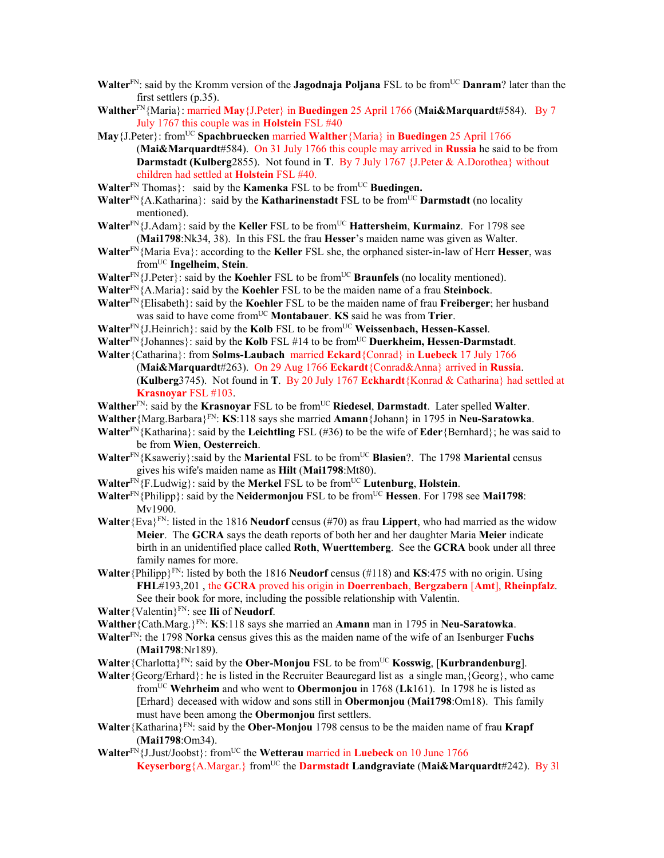- **Walter**<sup>FN</sup>: said by the Kromm version of the **Jagodnaja Poljana** FSL to be from<sup>UC</sup> **Danram**? later than the first settlers (p.35).
- **Walther**FN{Maria}: married **May**{J.Peter} in **Buedingen** 25 April 1766 (**Mai&Marquardt**#584). By 7 July 1767 this couple was in **Holstein** FSL #40
- **May**{J.Peter}: fromUC **Spachbruecken** married **Walther**{Maria} in **Buedingen** 25 April 1766 (**Mai&Marquardt**#584). On 31 July 1766 this couple may arrived in **Russia** he said to be from **Darmstadt (Kulberg**2855). Not found in **T**. By 7 July 1767 {J.Peter & A.Dorothea} without children had settled at **Holstein** FSL #40.
- **Walter**<sup>FN</sup> Thomas}: said by the **Kamenka** FSL to be from<sup>UC</sup> Buedingen.
- **Walter**<sup>FN</sup>{A.Katharina}: said by the **Katharinenstadt** FSL to be from<sup>UC</sup> **Darmstadt** (no locality mentioned).
- **Walter**<sup>FN</sup>{J.Adam}: said by the **Keller** FSL to be from<sup>UC</sup> **Hattersheim**, **Kurmainz**. For 1798 see (**Mai1798**:Nk34, 38). In this FSL the frau **Hesser**'s maiden name was given as Walter.
- **Walter**FN{Maria Eva}: according to the **Keller** FSL she, the orphaned sister-in-law of Herr **Hesser**, was fromUC **Ingelheim**, **Stein**.
- Walter<sup>FN</sup>{J.Peter}: said by the **Koehler** FSL to be from<sup>UC</sup> **Braunfels** (no locality mentioned).
- **Walter**FN{A.Maria}: said by the **Koehler** FSL to be the maiden name of a frau **Steinbock**.
- **Walter**FN{Elisabeth}: said by the **Koehler** FSL to be the maiden name of frau **Freiberger**; her husband was said to have come fromUC **Montabauer**. **KS** said he was from **Trier**.
- **Walter**<sup>FN</sup>{J.Heinrich}: said by the **Kolb** FSL to be from<sup>UC</sup> **Weissenbach, Hessen-Kassel**.
- **Walter**<sup>FN</sup>{Johannes}: said by the **Kolb** FSL #14 to be from<sup>UC</sup> Duerkheim, Hessen-Darmstadt.
- **Walter**{Catharina}: from **Solms-Laubach** married **Eckard**{Conrad} in **Luebeck** 17 July 1766 (**Mai&Marquardt**#263). On 29 Aug 1766 **Eckardt**{Conrad&Anna} arrived in **Russia**. (**Kulberg**3745). Not found in **T**. By 20 July 1767 **Eckhardt**{Konrad & Catharina} had settled at **Krasnoyar** FSL #103.
- **Walther**<sup>FN</sup>: said by the **Krasnovar** FSL to be from<sup>UC</sup> **Riedesel**, **Darmstadt**. Later spelled **Walter**.
- **Walther**{Marg.Barbara}FN: **KS**:118 says she married **Amann**{Johann} in 1795 in **Neu-Saratowka**.
- **Walter**FN{Katharina}: said by the **Leichtling** FSL (#36) to be the wife of **Eder**{Bernhard}; he was said to be from **Wien**, **Oesterreich**.
- **Walter**<sup>FN</sup>{Ksaweriy}:said by the **Mariental** FSL to be from<sup>UC</sup> **Blasien**?. The 1798 **Mariental** census gives his wife's maiden name as **Hilt** (**Mai1798**:Mt80).
- **Walter**FN{F.Ludwig}: said by the **Merkel** FSL to be fromUC **Lutenburg**, **Holstein**.
- **Walter**<sup>FN</sup>{Philipp}: said by the **Neidermonjou** FSL to be from<sup>UC</sup> **Hessen**. For 1798 see **Mai1798**: Mv1900.
- **Walter**{Eva}<sup>FN</sup>: listed in the 1816 **Neudorf** census (#70) as frau **Lippert**, who had married as the widow **Meier**. The **GCRA** says the death reports of both her and her daughter Maria **Meier** indicate birth in an unidentified place called **Roth**, **Wuerttemberg**. See the **GCRA** book under all three family names for more.
- **Walter**{Philipp}FN: listed by both the 1816 **Neudorf** census (#118) and **KS**:475 with no origin. Using **FHL**#193,201 , the **GCRA** proved his origin in **Doerrenbach**, **Bergzabern** [**Amt**], **Rheinpfalz**. See their book for more, including the possible relationship with Valentin.
- **Walter**{Valentin}FN: see **Ili** of **Neudorf**.
- **Walther**{Cath.Marg.}FN: **KS**:118 says she married an **Amann** man in 1795 in **Neu-Saratowka**.
- **Walter**FN: the 1798 **Norka** census gives this as the maiden name of the wife of an Isenburger **Fuchs** (**Mai1798**:Nr189).
- **Walter** {Charlotta}<sup>FN</sup>: said by the **Ober-Monjou** FSL to be from<sup>UC</sup> **Kosswig**, [**Kurbrandenburg**].
- **Walter**{Georg/Erhard}: he is listed in the Recruiter Beauregard list as a single man,{Georg}, who came fromUC **Wehrheim** and who went to **Obermonjou** in 1768 (**Lk**161). In 1798 he is listed as [Erhard} deceased with widow and sons still in **Obermonjou** (**Mai1798**:Om18). This family must have been among the **Obermonjou** first settlers.
- **Walter**{Katharina}FN: said by the **Ober-Monjou** 1798 census to be the maiden name of frau **Krapf** (**Mai1798**:Om34).
- **Walter<sup>FN</sup>{L\_Just/Joobst}:** from<sup>UC</sup> the **Wetterau** married in **Luebeck** on 10 June 1766 **Keyserborg**{A.Margar.} fromUC the **Darmstadt Landgraviate** (**Mai&Marquardt**#242). By 3l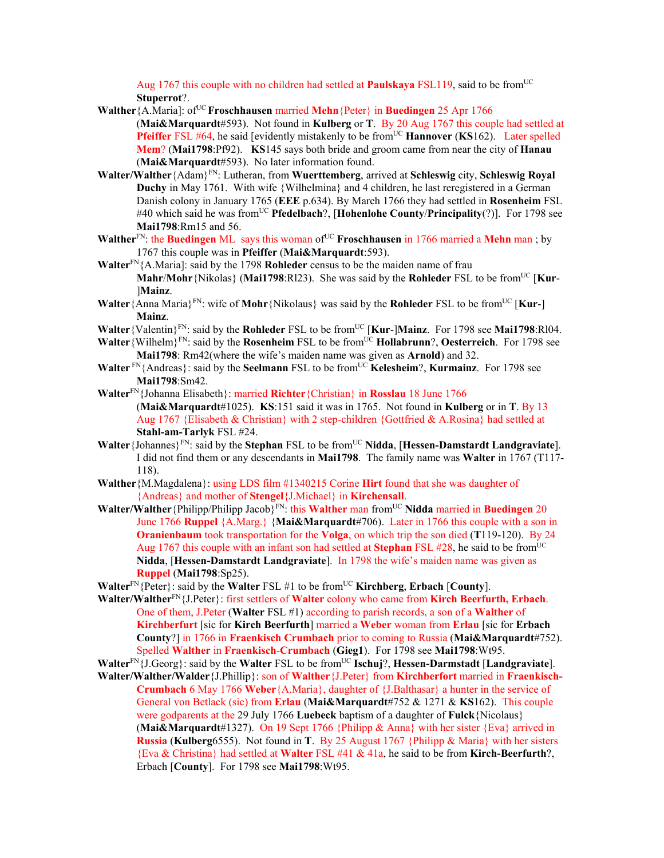Aug 1767 this couple with no children had settled at **Paulskaya** FSL119, said to be from<sup>UC</sup> **Stuperrot**?.

- **Walther** {A.Maria]: of<sup>UC</sup> **Froschhausen** married **Mehn** {Peter} in **Buedingen** 25 Apr 1766 (**Mai&Marquardt**#593). Not found in **Kulberg** or **T**. By 20 Aug 1767 this couple had settled at **Pfeiffer** FSL #64, he said [evidently mistakenly to be from<sup>UC</sup> **Hannover** (**KS**162). Later spelled **Mem**? (**Mai1798**:Pf92). **KS**145 says both bride and groom came from near the city of **Hanau** (**Mai&Marquardt**#593). No later information found.
- **Walter/Walther**{Adam}FN: Lutheran, from **Wuerttemberg**, arrived at **Schleswig** city, **Schleswig Royal Duchy** in May 1761. With wife {Wilhelmina} and 4 children, he last reregistered in a German Danish colony in January 1765 (**EEE** p.634). By March 1766 they had settled in **Rosenheim** FSL #40 which said he was fromUC **Pfedelbach**?, [**Hohenlohe County**/**Principality**(?)]. For 1798 see **Mai1798**:Rm15 and 56.
- **Walther**<sup>FN</sup>: the **Buedingen** ML says this woman of<sup>UC</sup> **Froschhausen** in 1766 married a **Mehn** man; by 1767 this couple was in **Pfeiffer** (**Mai&Marquardt**:593).
- **Walter**FN{A.Maria]: said by the 1798 **Rohleder** census to be the maiden name of frau **Mahr/Mohr** {Nikolas} (Mai1798:Rl23). She was said by the **Rohleder** FSL to be from<sup>UC</sup> [Kur-]**Mainz**.
- **Walter**{Anna Maria}<sup>FN</sup>: wife of **Mohr**{Nikolaus} was said by the **Rohleder** FSL to be from<sup>UC</sup> [**Kur-**] **Mainz**.
- **Walter** {Valentin}<sup>FN</sup>: said by the **Rohleder** FSL to be from<sup>UC</sup> [**Kur-]Mainz**. For 1798 see **Mai1798**:Rl04.
- **Walter**{Wilhelm}<sup>FN</sup>: said by the **Rosenheim** FSL to be from<sup>UC</sup> **Hollabrunn**?, **Oesterreich**. For 1798 see **Mai1798**: Rm42(where the wife's maiden name was given as **Arnold**) and 32.
- **Walter** FN{Andreas}: said by the **Seelmann** FSL to be from<sup>UC</sup> **Kelesheim**?, **Kurmainz**. For 1798 see **Mai1798**:Sm42.
- **Walter**FN{Johanna Elisabeth}: married **Richter**{Christian} in **Rosslau** 18 June 1766 (**Mai&Marquardt**#1025). **KS**:151 said it was in 1765. Not found in **Kulberg** or in **T**. By 13 Aug 1767 {Elisabeth & Christian} with 2 step-children {Gottfried & A.Rosina} had settled at **Stahl-am-Tarlyk** FSL #24.
- **Walter**{Johannes}FN: said by the **Stephan** FSL to be fromUC **Nidda**, [**Hessen-Damstardt Landgraviate**]. I did not find them or any descendants in **Mai1798**. The family name was **Walter** in 1767 (T117- 118).
- **Walther**{M.Magdalena}: using LDS film #1340215 Corine **Hirt** found that she was daughter of {Andreas} and mother of **Stengel**{J.Michael} in **Kirchensall**.
- **Walter/Walther**{Philipp/Philipp Jacob}FN: this **Walther** man fromUC **Nidda** married in **Buedingen** 20 June 1766 **Ruppel** {A.Marg.} {**Mai&Marquardt**#706). Later in 1766 this couple with a son in **Oranienbaum** took transportation for the **Volga**, on which trip the son died (**T**119-120). By 24 Aug 1767 this couple with an infant son had settled at **Stephan** FSL  $\#28$ , he said to be from<sup>UC</sup> **Nidda**, [**Hessen-Damstardt Landgraviate**]. In 1798 the wife's maiden name was given as **Ruppel** (**Mai1798**:Sp25).
- **Walter**FN{Peter}: said by the **Walter** FSL #1 to be fromUC **Kirchberg**, **Erbach** [**County**].
- **Walter/Walther**FN{J.Peter}: first settlers of **Walter** colony who came from **Kirch Beerfurth, Erbach**. One of them, J.Peter (**Walter** FSL #1) according to parish records, a son of a **Walther** of **Kirchberfurt** [sic for **Kirch Beerfurth**] married a **Weber** woman from **Erlau** [sic for **Erbach County**?] in 1766 in **Fraenkisch Crumbach** prior to coming to Russia (**Mai&Marquardt**#752). Spelled **Walther** in **Fraenkisch**-**Crumbach** (**Gieg1**). For 1798 see **Mai1798**:Wt95.
- **Walter**FN{J.Georg}: said by the **Walter** FSL to be fromUC **Ischuj**?, **Hessen-Darmstadt** [**Landgraviate**].
- **Walter/Walther/Walder**{J.Phillip}: son of **Walther**{J.Peter} from **Kirchberfort** married in **Fraenkisch-Crumbach** 6 May 1766 **Weber**{A.Maria}, daughter of {J.Balthasar} a hunter in the service of General von Betlack (sic) from **Erlau** (**Mai&Marquardt**#752 & 1271 & **KS**162). This couple were godparents at the 29 July 1766 **Luebeck** baptism of a daughter of **Fulck**{Nicolaus} (**Mai&Marquardt**#1327). On 19 Sept 1766 {Philipp & Anna} with her sister {Eva} arrived in **Russia** (**Kulberg**6555). Not found in **T**. By 25 August 1767 {Philipp & Maria} with her sisters {Eva & Christina} had settled at **Walter** FSL #41 & 41a, he said to be from **Kirch-Beerfurth**?, Erbach [**County**]. For 1798 see **Mai1798**:Wt95.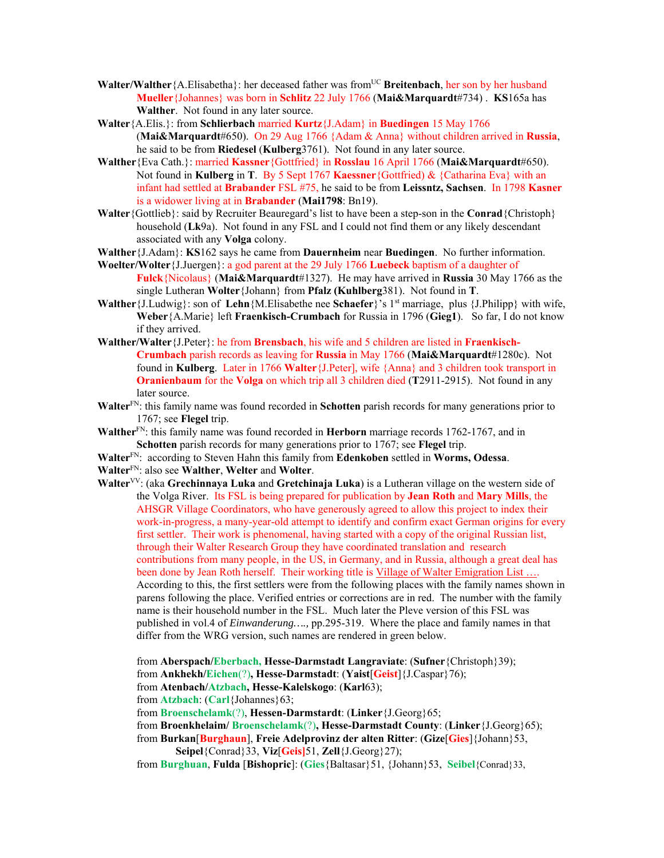- Walter/Walther {A.Elisabetha}: her deceased father was from<sup>UC</sup> **Breitenbach**, her son by her husband **Mueller**{Johannes} was born in **Schlitz** 22 July 1766 (**Mai&Marquardt**#734) . **KS**165a has **Walther**. Not found in any later source.
- **Walter**{A.Elis.}: from **Schlierbach** married **Kurtz**{J.Adam} in **Buedingen** 15 May 1766 (**Mai&Marquardt**#650). On 29 Aug 1766 {Adam & Anna} without children arrived in **Russia**, he said to be from **Riedesel** (**Kulberg**3761). Not found in any later source.
- **Walther**{Eva Cath.}: married **Kassner**{Gottfried} in **Rosslau** 16 April 1766 (**Mai&Marquardt**#650). Not found in **Kulberg** in **T**. By 5 Sept 1767 **Kaessner**{Gottfried) & {Catharina Eva} with an infant had settled at **Brabander** FSL #75, he said to be from **Leissntz, Sachsen**. In 1798 **Kasner**  is a widower living at in **Brabander** (**Mai1798**: Bn19).
- **Walter**{Gottlieb}: said by Recruiter Beauregard's list to have been a step-son in the **Conrad**{Christoph} household (**Lk**9a). Not found in any FSL and I could not find them or any likely descendant associated with any **Volga** colony.
- **Walther**{J.Adam}: **KS**162 says he came from **Dauernheim** near **Buedingen**. No further information.
- **Woelter/Wolter**{J.Juergen}: a god parent at the 29 July 1766 **Luebeck** baptism of a daughter of
- **Fulck**{Nicolaus} (**Mai&Marquardt**#1327). He may have arrived in **Russia** 30 May 1766 as the single Lutheran **Wolter**{Johann} from **Pfalz (Kuhlberg**381). Not found in **T**.
- **Walther**{J.Ludwig}: son of **Lehn**{M.Elisabethe nee **Schaefer**}'s 1st marriage, plus {J.Philipp} with wife, **Weber**{A.Marie} left **Fraenkisch-Crumbach** for Russia in 1796 (**Gieg1**). So far, I do not know if they arrived.
- **Walther/Walter**{J.Peter}: he from **Brensbach**, his wife and 5 children are listed in **Fraenkisch-Crumbach** parish records as leaving for **Russia** in May 1766 (**Mai&Marquardt**#1280c). Not found in **Kulberg**. Later in 1766 **Walter**{J.Peter], wife {Anna} and 3 children took transport in **Oranienbaum** for the **Volga** on which trip all 3 children died (**T**2911-2915). Not found in any later source.
- **Walter**FN: this family name was found recorded in **Schotten** parish records for many generations prior to 1767; see **Flegel** trip.
- Walther<sup>FN</sup>: this family name was found recorded in **Herborn** marriage records 1762-1767, and in **Schotten** parish records for many generations prior to 1767; see **Flegel** trip.
- **Walter**FN: according to Steven Hahn this family from **Edenkoben** settled in **Worms, Odessa**.
- **Walter**FN: also see **Walther**, **Welter** and **Wolter**.
- **Walter**VV: (aka **Grechinnaya Luka** and **Gretchinaja Luka**) is a Lutheran village on the western side of the Volga River. Its FSL is being prepared for publication by **Jean Roth** and **Mary Mills**, the AHSGR Village Coordinators, who have generously agreed to allow this project to index their work-in-progress, a many-year-old attempt to identify and confirm exact German origins for every first settler. Their work is phenomenal, having started with a copy of the original Russian list, through their Walter Research Group they have coordinated translation and research contributions from many people, in the US, in Germany, and in Russia, although a great deal has been done by Jean Roth herself. Their working title is Village of Walter Emigration List .... According to this, the first settlers were from the following places with the family names shown in parens following the place. Verified entries or corrections are in red. The number with the family name is their household number in the FSL. Much later the Pleve version of this FSL was published in vol.4 of *Einwanderung….,* pp.295-319. Where the place and family names in that differ from the WRG version, such names are rendered in green below.
	- from **Aberspach/Eberbach, Hesse-Darmstadt Langraviate**: (**Sufner**{Christoph}39);

from **Ankhekh/Eichen**(?)**, Hesse-Darmstadt**: (**Yaist**[**Geist**]{J.Caspar}76);

- from **Atenbach/Atzbach, Hesse-Kalelskogo**: (**Karl**63);
- from **Atzbach**: (**Carl**{Johannes}63;

from **Broenschelamk**(?), **Hessen-Darmstardt**: (**Linker**{J.Georg}65;

from **Broenkhelaim/ Broenschelamk**(?)**, Hesse-Darmstadt County**: (**Linker**{J.Georg}65);

from **Burkan**[**Burghaun**], **Freie Adelprovinz der alten Ritter**: (**Gize**[**Gies**]{Johann}53, **Seipel**{Conrad}33, **Viz**[**Geis]**51, **Zell**{J.Georg}27);

from **Burghuan**, **Fulda** [**Bishopric**]: (**Gies**{Baltasar}51, {Johann}53, **Seibel**{Conrad}33,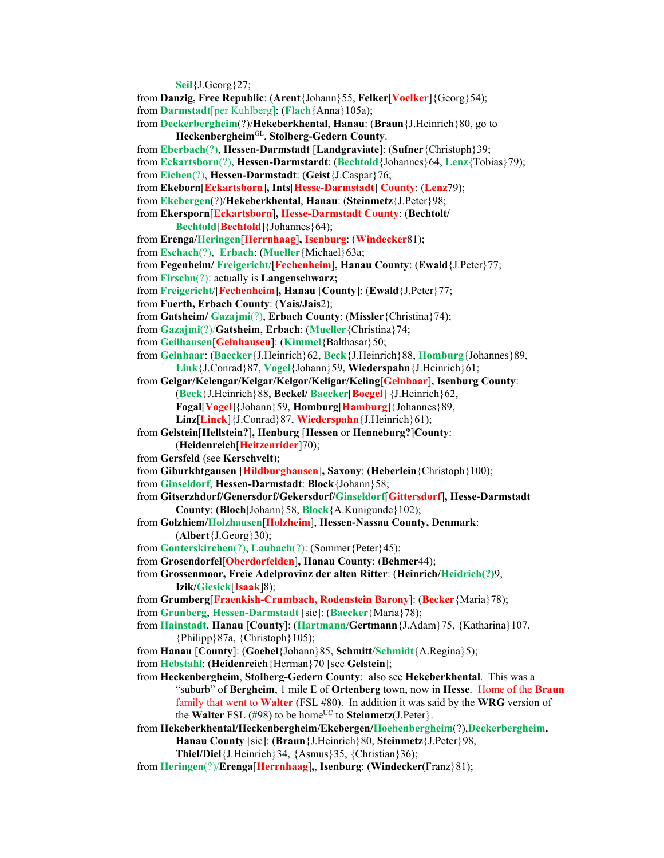**Seil**{J.Georg}27; from **Danzig, Free Republic**: (**Arent**{Johann}55, **Felker**[**Voelker**]{Georg}54); from **Darmstadt**[per Kuhlberg]: (**Flach**{Anna}105a); from **Deckerbergheim**(?)/**Hekeberkhental**, **Hanau**: (**Braun**{J.Heinrich}80, go to **Heckenbergheim**GL, **Stolberg-Gedern County**. from **Eberbach**(?), **Hessen-Darmstadt** [**Landgraviate**]: (**Sufner**{Christoph}39; from **Eckartsborn**(?), **Hessen-Darmstardt**: (**Bechtold**{Johannes}64, **Lenz**{Tobias}79); from **Eichen**(?), **Hessen-Darmstadt**: (**Geist**{J.Caspar}76; from **Ekeborn**[**Eckartsborn**]**, Ints**[**Hesse-Darmstadt**] **County**: (**Lenz**79); from **Ekebergen**(?)/**Hekeberkhental**, **Hanau**: (**Steinmetz**{J.Peter}98; from **Ekersporn**[**Eckartsborn**]**, Hesse-Darmstadt County**: (**Bechtolt/ Bechtold**[**Bechtold**]{Johannes}64); from **Erenga/Heringen**[**Herrnhaag**]**, Isenburg**: (**Windecker**81); from **Eschach**(?), **Erbach**: (**Mueller**{Michael}63a; from **Fegenheim/ Freigericht**/[**Fechenheim**]**, Hanau County**: (**Ewald**{J.Peter}77; from **Firschn**(?): actually is **Langenschwarz;**  from **Freigericht**/[**Fechenheim**]**, Hanau** [**County**]: (**Ewald**{J.Peter}77; from **Fuerth, Erbach County**: (**Yais/Jais**2); from **Gatsheim/ Gazajmi**(?), **Erbach County**: (**Missler**{Christina}74); from **Gazajmi**(?)/**Gatsheim**, **Erbach**: (**Mueller**{Christina}74; from **Geilhausen**[**Gelnhausen**]: (**Kimmel**{Balthasar}50; from **Gelnhaar**: (**Baecker**{J.Heinrich}62, **Beck**{J.Heinrich}88, **Homburg**{Johannes}89, **Link**{J.Conrad}87, **Vogel**{Johann}59, **Wiederspahn**{J.Heinrich}61; from **Gelgar/Kelengar/Kelgar/Kelgor/Keligar/Keling**[**Gelnhaar**]**, Isenburg County**: (**Beck**{J.Heinrich}88, **Beckel/ Baecker**[**Boegel**] {J.Heinrich}62, **Fogal**[**Vogel**]{Johann}59, **Homburg**[**Hamburg**]{Johannes}89, **Linz**[**Linck**]{J.Conrad}87, **Wiederspahn**{J.Heinrich}61); from **Gelstein**[**Hellstein?**]**, Henburg** [**Hessen** or **Henneburg?**]**County**: (**Heidenreich**[**Heitzenrider**]70); from **Gersfeld** (see **Kerschvelt**); from **Giburkhtgausen** [**Hildburghausen**]**, Saxony**: (**Heberlein**{Christoph}100); from **Ginseldorf**, **Hessen-Darmstadt**: **Block**{Johann}58; from **Gitserzhdorf/Genersdorf/Gekersdorf/Ginseldorf**[**Gittersdorf**]**, Hesse-Darmstadt County**: (**Bloch**[Johann}58, **Block**{A.Kunigunde}102); from **Golzhiem/Holzhausen**[**Holzheim**], **Hessen-Nassau County, Denmark**: (**Albert**{J.Georg}30); from **Gonterskirchen**(?), **Laubach**(?): (Sommer{Peter}45); from **Grosendorfel**[**Oberdorfelden**]**, Hanau County**: (**Behmer**44); from **Grossenmoor, Freie Adelprovinz der alten Ritter**: (**Heinrich/Heidrich(?)**9, **Izik/Giesick**[**Isaak**]8); from **Grumberg**[**Fraenkish-Crumbach, Rodenstein Barony**]: (**Becker**{Maria}78); from **Grunberg**, **Hessen-Darmstadt** [sic]: (**Baecker**{Maria}78); from **Hainstadt**, **Hanau** [**County**]: (**Hartmann**/**Gertmann**{J.Adam}75, {Katharina}107, {Philipp}87a, {Christoph}105); from **Hanau** [**County**]: (**Goebel**{Johann}85, **Schmitt**/**Schmidt**{A.Regina}5); from **Hebstahl**: (**Heidenreich**{Herman}70 [see **Gelstein**]; from **Heckenbergheim**, **Stolberg-Gedern County**: also see **Hekeberkhental**. This was a "suburb" of **Bergheim**, 1 mile E of **Ortenberg** town, now in **Hesse**. Home of the **Braun** family that went to **Walter** (FSL #80). In addition it was said by the **WRG** version of the **Walter** FSL (#98) to be home<sup>UC</sup> to **Steinmetz**(J.Peter}. from **Hekeberkhental/Heckenbergheim/Ekebergen/Hoehenbergheim**(?),**Deckerbergheim,** 

- **Hanau County** [sic]: (**Braun**{J.Heinrich}80, **Steinmetz**{J.Peter}98, **Thiel/Diel**{J.Heinrich}34, {Asmus}35, {Christian}36);
- from **Heringen**(?)/**Erenga**[**Herrnhaag**]**,**, **Isenburg**: (**Windecker**(Franz}81);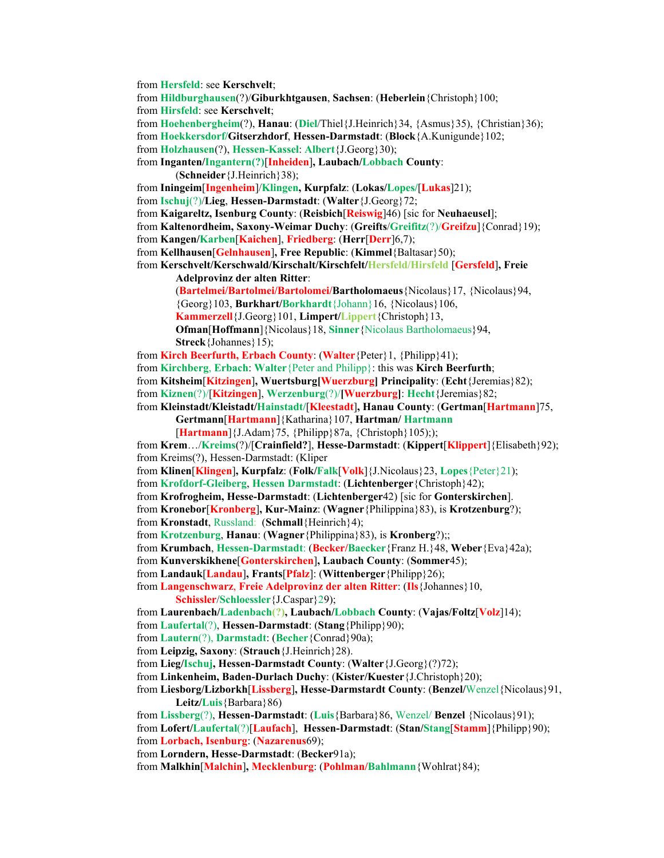from **Hersfeld**: see **Kerschvelt**; from **Hildburghausen**(?)/**Giburkhtgausen**, **Sachsen**: (**Heberlein**{Christoph}100; from **Hirsfeld**: see **Kerschvelt**; from **Hoehenbergheim**(?), **Hanau**: (**Diel**/Thiel{J.Heinrich}34, {Asmus}35), {Christian}36); from **Hoekkersdorf/Gitserzhdorf**, **Hessen-Darmstadt**: (**Block**{A.Kunigunde}102; from **Holzhausen**(?), **Hessen-Kassel**: **Albert**{J.Georg}30); from **Inganten/Ingantern(?)**[**Inheiden**]**, Laubach/Lobbach County**: (**Schneider**{J.Heinrich}38); from **Iningeim**[**Ingenheim**]/**Klingen, Kurpfalz**: (**Lokas/Lopes/**[**Lukas**]21); from **Ischuj**(?)/**Lieg**, **Hessen-Darmstadt**: (**Walter**{J.Georg}72; from **Kaigareltz, Isenburg County**: (**Reisbich**[**Reiswig**]46) [sic for **Neuhaeusel**]; from **Kaltenordheim, Saxony-Weimar Duchy**: (**Greifts**/**Greifitz**(?)/**Greifzu**]{Conrad}19); from **Kangen/Karben**[**Kaichen**], **Friedberg**: (**Herr**[**Derr**]6,7); from **Kellhausen**[**Gelnhausen**]**, Free Republic**: (**Kimmel**{Baltasar}50); from **Kerschvelt/Kerschwald/Kirschalt/Kirschfelt/Hersfeld/Hirsfeld** [**Gersfeld**]**, Freie Adelprovinz der alten Ritter**: (**Bartelmei/Bartolmei/Bartolomei/Bartholomaeus**{Nicolaus}17, {Nicolaus}94, {Georg}103, **Burkhart/Borkhardt**{Johann}16, {Nicolaus}106, **Kammerzell**{J.Georg}101, **Limpert/Lippert**{Christoph}13, **Ofman**[**Hoffmann**]{Nicolaus}18, **Sinner**{Nicolaus Bartholomaeus}94, **Streck**{Johannes}15); from **Kirch Beerfurth, Erbach County**: (**Walter**{Peter}1, {Philipp}41); from **Kirchberg**, **Erbach**: **Walter**{Peter and Philipp}: this was **Kirch Beerfurth**; from **Kitsheim**[**Kitzingen**]**, Wuertsburg[Wuerzburg] Principality**: (**Echt**{Jeremias}82); from **Kiznen**(?)/[**Kitzingen**], **Werzenburg**(?)/**[Wuerzburg]**: **Hecht**{Jeremias}82; from **Kleinstadt/Kleistadt/Hainstadt/**[**Kleestadt**]**, Hanau County**: (**Gertman**[**Hartmann**]75, **Gertmann**[**Hartmann**]{Katharina}107, **Hartman/ Hartmann** [**Hartmann**]{J.Adam}75, {Philipp}87a, {Christoph}105);); from **Krem**…/**Kreims**(?)/[**Crainfield?**], **Hesse-Darmstadt**: (**Kippert**[**Klippert**]{Elisabeth}92); from Kreims(?), Hessen-Darmstadt: (Kliper from **Klinen**[**Klingen**]**, Kurpfalz**: (**Folk/Falk**[**Volk**]{J.Nicolaus}23, **Lopes**{Peter}21); from **Krofdorf-Gleiberg**, **Hessen Darmstadt**: (**Lichtenberger**{Christoph}42); from **Krofrogheim, Hesse-Darmstadt**: (**Lichtenberger**42) [sic for **Gonterskirchen**]. from **Kronebor**[**Kronberg**]**, Kur-Mainz**: (**Wagner**{Philippina}83), is **Krotzenburg**?); from **Kronstadt**, Russland: (**Schmall**{Heinrich}4); from **Krotzenburg**, **Hanau**: (**Wagner**{Philippina}83), is **Kronberg**?);; from **Krumbach**, **Hessen-Darmstadt**: (**Becker/Baecker**{Franz H.}48, **Weber**{Eva}42a); from **Kunverskikhene**[**Gonterskirchen**]**, Laubach County**: (**Sommer**45); from **Landauk**[**Landau**]**, Frants**[**Pfalz**]: (**Wittenberger**{Philipp}26); from **Langenschwarz**, **Freie Adelprovinz der alten Ritter**: (**Ils**{Johannes}10, **Schissler**/**Schloessler**{J.Caspar}29); from **Laurenbach/Ladenbach(?), Laubach/Lobbach County**: (**Vajas/Foltz**[**Volz**]14); from **Laufertal**(?), **Hessen-Darmstadt**: (**Stang**{Philipp}90); from **Lautern**(?), **Darmstadt**: (**Becher**{Conrad}90a); from **Leipzig, Saxony**: (**Strauch**{J.Heinrich}28). from **Lieg/Ischuj, Hessen-Darmstadt County**: (**Walter**{J.Georg}(?)72); from **Linkenheim, Baden-Durlach Duchy**: (**Kister/Kuester**{J.Christoph}20); from **Liesborg/Lizborkh**[**Lissberg**]**, Hesse-Darmstardt County**: (**Benzel/**Wenzel{Nicolaus}91, **Leitz/Luis**{Barbara}86) from **Lissberg**(?), **Hessen-Darmstadt**: (**Luis**{Barbara}86, Wenzel/ **Benzel** {Nicolaus}91); from **Lofert/Laufertal**(?)[**Laufach**], **Hessen-Darmstadt**: (**Stan/Stang**[**Stamm**]{Philipp}90); from **Lorbach, Isenburg**: (**Nazarenus**69); from **Lorndern, Hesse-Darmstadt**: (**Becker**91a); from **Malkhin**[**Malchin**]**, Mecklenburg**: (**Pohlman/Bahlmann**{Wohlrat}84);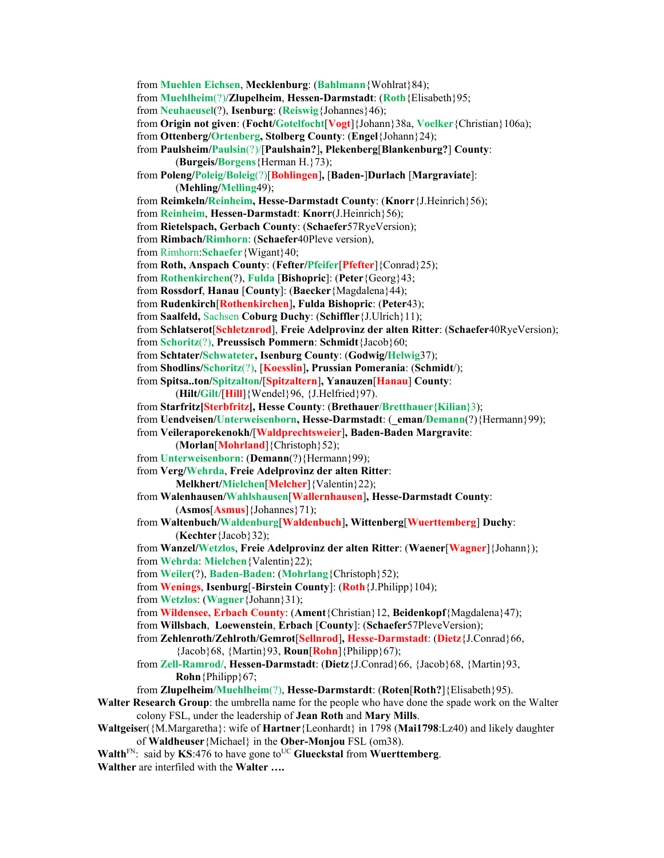```
from Muehlen Eichsen, Mecklenburg: (Bahlmann{Wohlrat}84); 
from Muehlheim(?)/Zlupelheim, Hessen-Darmstadt: (Roth{Elisabeth}95; 
from Neuhaeusel(?), Isenburg: (Reiswig{Johannes}46); 
from Origin not given: (Focht/Gotelfocht[Vogt]{Johann}38a, Voelker{Christian}106a); 
from Ottenberg/Ortenberg, Stolberg County: (Engel{Johann}24); 
from Paulsheim/Paulsin(?)/[Paulshain?], Plekenberg[Blankenburg?] County: 
       (Burgeis/Borgens{Herman H.}73); 
from Poleng/Poleig/Boleig(?)[Bohlingen], [Baden-]Durlach [Margraviate]: 
       (Mehling/Melling49); 
from Reimkeln/Reinheim, Hesse-Darmstadt County: (Knorr{J.Heinrich}56); 
from Reinheim, Hessen-Darmstadt: Knorr(J.Heinrich}56); 
from Rietelspach, Gerbach County: (Schaefer57RyeVersion); 
from Rimbach/Rimhorn: (Schaefer40Pleve version), 
from Rimhorn:Schaefer{Wigant}40; 
from Roth, Anspach County: (Fefter/Pfeifer[Pfefter]{Conrad}25); 
from Rothenkirchen(?), Fulda [Bishopric]: (Peter{Georg}43; 
from Rossdorf, Hanau [County]: (Baecker{Magdalena}44); 
from Rudenkirch[Rothenkirchen], Fulda Bishopric: (Peter43); 
from Saalfeld, Sachsen Coburg Duchy: (Schiffler{J.Ulrich}11); 
from Schlatserot[Schletznrod], Freie Adelprovinz der alten Ritter: (Schaefer40RyeVersion); 
from Schoritz(?), Preussisch Pommern: Schmidt{Jacob}60; 
from Schtater/Schwateter, Isenburg County: (Godwig/Helwig37); 
from Shodlins/Schoritz(?), [Koesslin], Prussian Pomerania: (Schmidt/); 
from Spitsa..ton/Spitzalton/[Spitzaltern], Yanauzen[Hanau] County: 
       (Hilt/Gilt/[Hill]{Wendel}96, {J.Helfried}97). 
from Starfritz[Sterbfritz], Hesse County: (Brethauer/Bretthauer{Kilian}3); 
from Uendveisen/Unterweisenborn, Hesse-Darmstadt: (_eman/Demann(?){Hermann}99); 
from Veileraporekenokh/[Waldprechtsweier], Baden-Baden Margravite: 
       (Morlan[Mohrland]{Christoph}52); 
from Unterweisenborn: (Demann(?){Hermann}99); 
from Verg/Wehrda, Freie Adelprovinz der alten Ritter: 
       Melkhert/Mielchen[Melcher]{Valentin}22); 
from Walenhausen/Wahlshausen[Wallernhausen], Hesse-Darmstadt County: 
       (Asmos[Asmus]{Johannes}71); 
from Waltenbuch/Waldenburg[Waldenbuch], Wittenberg[Wuerttemberg] Duchy: 
       (Kechter{Jacob}32); 
from Wanzel/Wetzlos, Freie Adelprovinz der alten Ritter: (Waener[Wagner]{Johann}); 
from Wehrda: Mielchen{Valentin}22); 
from Weiler(?), Baden-Baden: (Mohrlang{Christoph}52); 
from Wenings, Isenburg[-Birstein County]: (Roth{J.Philipp}104); 
from Wetzlos: (Wagner{Johann}31); 
from Wildensee, Erbach County: (Ament{Christian}12, Beidenkopf{Magdalena}47); 
from Willsbach, Loewenstein, Erbach [County]: (Schaefer57PleveVersion); 
from Zehlenroth/Zehlroth/Gemrot[Sellnrod], Hesse-Darmstadt: (Dietz{J.Conrad}66, 
        {Jacob}68, {Martin}93, Roun[Rohn]{Philipp}67); 
from Zell-Ramrod/, Hessen-Darmstadt: (Dietz{J.Conrad}66, {Jacob}68, {Martin}93, 
       Rohn{Philipp}67; 
from Zlupelheim/Muehlheim(?), Hesse-Darmstardt: (Roten[Roth?]{Elisabeth}95).
```
- **Walter Research Group**: the umbrella name for the people who have done the spade work on the Walter colony FSL, under the leadership of **Jean Roth** and **Mary Mills**.
- **Waltgeise**r({M.Margaretha}: wife of **Hartner**{Leonhardt} in 1798 (**Mai1798**:Lz40) and likely daughter of **Waldheuser**{Michael} in the **Ober-Monjou** FSL (om38).
- **Walth**<sub>FN:</sub> said by **KS**:476 to have gone to<sup>UC</sup> Glueckstal from **Wuerttemberg**.
- **Walther** are interfiled with the **Walter ….**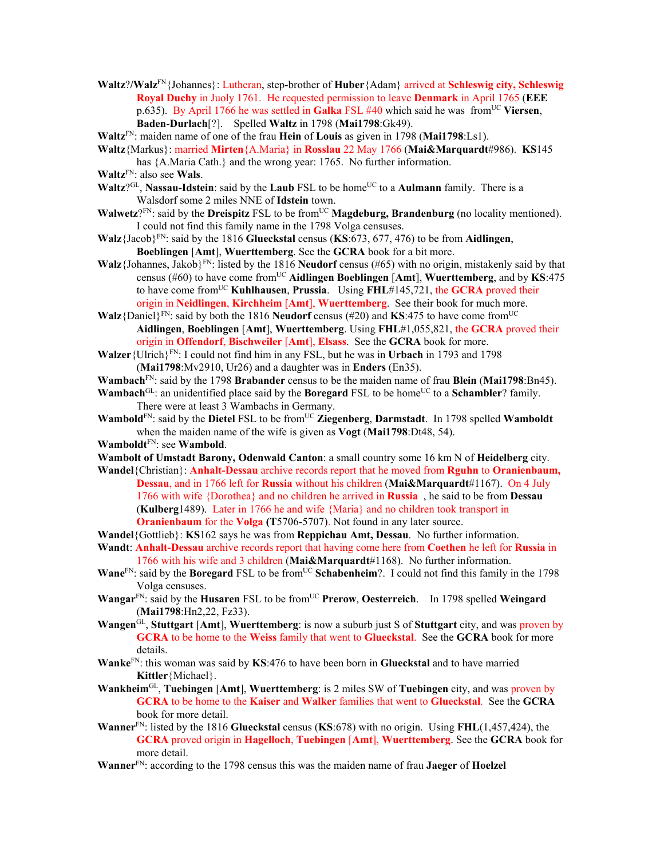- **Waltz**?**/Walz**FN{Johannes}: Lutheran, step-brother of **Huber**{Adam} arrived at **Schleswig city, Schleswig Royal Duchy** in Juoly 1761. He requested permission to leave **Denmark** in April 1765 (**EEE** p.635). By April 1766 he was settled in **Galka** FSL #40 which said he was fromUC **Viersen**, **Baden**-**Durlach**[?]. Spelled **Waltz** in 1798 (**Mai1798**:Gk49).
- **Waltz**FN: maiden name of one of the frau **Hein** of **Louis** as given in 1798 (**Mai1798**:Ls1).
- **Waltz**{Markus}: married **Mirten**{A.Maria} in **Rosslau** 22 May 1766 (**Mai&Marquardt**#986). **KS**145 has  ${A.Maria Cath.}$  and the wrong year: 1765. No further information.

- **Waltz**?<sup>GL</sup>, **Nassau-Idstein**: said by the **Laub** FSL to be home<sup>UC</sup> to a **Aulmann** family. There is a Walsdorf some 2 miles NNE of **Idstein** town.
- **Walwetz**?FN: said by the **Dreispitz** FSL to be from<sup>UC</sup> **Magdeburg, Brandenburg** (no locality mentioned). I could not find this family name in the 1798 Volga censuses.
- **Walz**{Jacob}FN: said by the 1816 **Glueckstal** census (**KS**:673, 677, 476) to be from **Aidlingen**, **Boeblingen** [**Amt**], **Wuerttemberg**. See the **GCRA** book for a bit more.
- **Walz**{Johannes, Jakob}FN: listed by the 1816 **Neudorf** census (#65) with no origin, mistakenly said by that census (#60) to have come fromUC **Aidlingen Boeblingen** [**Amt**], **Wuerttemberg**, and by **KS**:475 to have come fromUC **Kuhlhausen**, **Prussia**. Using **FHL**#145,721, the **GCRA** proved their origin in **Neidlingen**, **Kirchheim** [**Amt**], **Wuerttemberg**. See their book for much more.
- **Walz**{Daniel}<sup>FN</sup>: said by both the 1816 **Neudorf** census (#20) and **KS**:475 to have come from<sup>UC</sup> **Aidlingen**, **Boeblingen** [**Amt**], **Wuerttemberg**. Using **FHL**#1,055,821, the **GCRA** proved their origin in **Offendorf**, **Bischweiler** [**Amt**], **Elsass**. See the **GCRA** book for more.
- **Walzer**{Ulrich}FN: I could not find him in any FSL, but he was in **Urbach** in 1793 and 1798 (**Mai1798**:Mv2910, Ur26) and a daughter was in **Enders** (En35).
- **Wambach**FN: said by the 1798 **Brabander** census to be the maiden name of frau **Blein** (**Mai1798**:Bn45).
- **Wambach**<sup>GL</sup>: an unidentified place said by the **Boregard** FSL to be home<sup>UC</sup> to a **Schambler**? family. There were at least 3 Wambachs in Germany.
- **Wambold**<sup>FN</sup>: said by the **Dietel** FSL to be from<sup>UC</sup> **Ziegenberg**, **Darmstadt**. In 1798 spelled **Wamboldt** when the maiden name of the wife is given as **Vogt** (**Mai1798**:Dt48, 54).
- **Wamboldt**FN: see **Wambold**.
- **Wambolt of Umstadt Barony, Odenwald Canton**: a small country some 16 km N of **Heidelberg** city.
- **Wandel**{Christian}: **Anhalt-Dessau** archive records report that he moved from **Rguhn** to **Oranienbaum, Dessau**, and in 1766 left for **Russia** without his children (**Mai&Marquardt**#1167). On 4 July 1766 with wife {Dorothea} and no children he arrived in **Russia** , he said to be from **Dessau**  (**Kulberg**1489). Later in 1766 he and wife {Maria} and no children took transport in **Oranienbaum** for the **Volga (T**5706-5707). Not found in any later source.
- **Wandel**{Gottlieb}: **KS**162 says he was from **Reppichau Amt, Dessau**. No further information.
- **Wandt**: **Anhalt-Dessau** archive records report that having come here from **Coethen** he left for **Russia** in 1766 with his wife and 3 children (**Mai&Marquardt**#1168). No further information.
- **Wane**<sup>FN</sup>: said by the **Boregard** FSL to be from<sup>UC</sup> Schabenheim?. I could not find this family in the 1798 Volga censuses.
- **Wangar**<sup>FN</sup>: said by the **Husaren** FSL to be from<sup>UC</sup> **Prerow**, **Oesterreich**. In 1798 spelled **Weingard** (**Mai1798**:Hn2,22, Fz33).
- **Wangen**GL, **Stuttgart** [**Amt**], **Wuerttemberg**: is now a suburb just S of **Stuttgart** city, and was proven by **GCRA** to be home to the **Weiss** family that went to **Glueckstal**. See the **GCRA** book for more details.
- **Wanke**FN: this woman was said by **KS**:476 to have been born in **Glueckstal** and to have married **Kittler**{Michael}.
- **Wankheim**GL, **Tuebingen** [**Amt**], **Wuerttemberg**: is 2 miles SW of **Tuebingen** city, and was proven by **GCRA** to be home to the **Kaiser** and **Walker** families that went to **Glueckstal**. See the **GCRA** book for more detail.
- **Wanner**FN: listed by the 1816 **Glueckstal** census (**KS**:678) with no origin. Using **FHL**(1,457,424), the **GCRA** proved origin in **Hagelloch**, **Tuebingen** [**Amt**], **Wuerttemberg**. See the **GCRA** book for more detail.
- **Wanner**FN: according to the 1798 census this was the maiden name of frau **Jaeger** of **Hoelzel**

**Waltz**FN: also see **Wals**.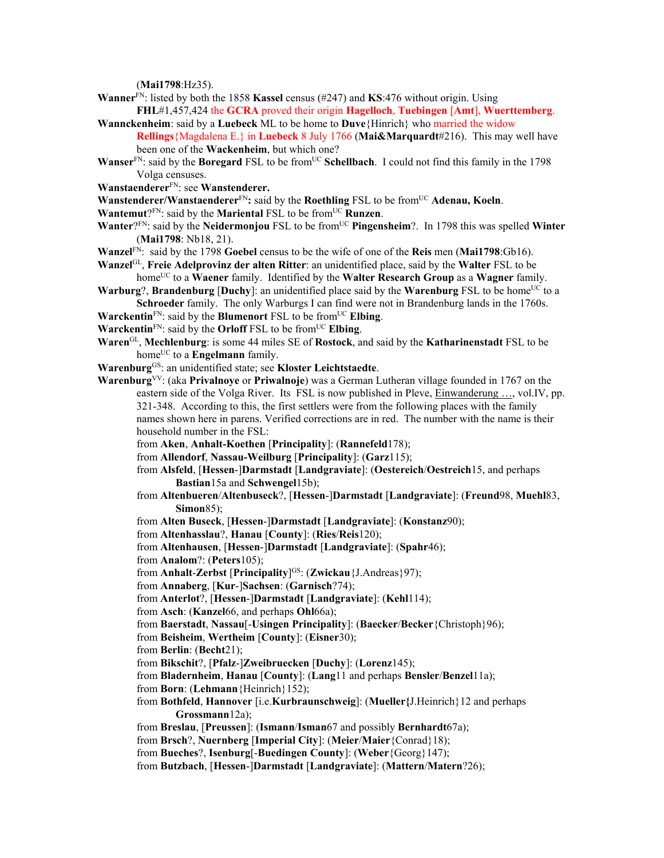(**Mai1798**:Hz35).

- **Wanner**<sup>FN</sup>: listed by both the 1858 **Kassel** census (#247) and **KS**:476 without origin. Using
- **FHL**#1,457,424 the **GCRA** proved their origin **Hagelloch**, **Tuebingen** [**Amt**], **Wuerttemberg**. **Wannckenheim**: said by a **Luebeck** ML to be home to **Duve**{Hinrich} who married the widow **Rellings**{Magdalena E.} in **Luebeck** 8 July 1766 (**Mai&Marquardt**#216). This may well have
	- been one of the **Wackenheim**, but which one?
- **Wanser**<sup>FN</sup>: said by the **Boregard** FSL to be from<sup>UC</sup> **Schellbach**. I could not find this family in the 1798 Volga censuses.
- **Wanstaenderer**FN: see **Wanstenderer.**
- **Wanstenderer/Wanstaenderer**<sup>FN</sup>: said by the **Roethling** FSL to be from<sup>UC</sup> Adenau, Koeln.
- **Wantemut**?FN: said by the **Mariental** FSL to be from<sup>UC</sup> **Runzen**.
- **Wanter**?FN: said by the **Neidermonjou** FSL to be from<sup>UC</sup> **Pingensheim**?. In 1798 this was spelled **Winter** (**Mai1798**: Nb18, 21).
- **Wanzel**FN: said by the 1798 **Goebel** census to be the wife of one of the **Reis** men (**Mai1798**:Gb16).
- **Wanzel**GL, **Freie Adelprovinz der alten Ritter**: an unidentified place, said by the **Walter** FSL to be homeUC to a **Waener** family. Identified by the **Walter Research Group** as a **Wagner** family.
- **Warburg**?, **Brandenburg** [Duchy]: an unidentified place said by the **Warenburg** FSL to be home<sup>UC</sup> to a **Schroeder** family. The only Warburgs I can find were not in Brandenburg lands in the 1760s.
- **Warckentin**<sup>FN</sup>: said by the **Blumenort** FSL to be from<sup>UC</sup> **Elbing**.
- **Warckentin** $F_N$ : said by the **Orloff** FSL to be from<sup>UC</sup> **Elbing**.
- **Waren**GL, **Mechlenburg**: is some 44 miles SE of **Rostock**, and said by the **Katharinenstadt** FSL to be home<sup>UC</sup> to a **Engelmann** family.

**Warenburg**GS: an unidentified state; see **Kloster Leichtstaedte**.

- **Warenburg**VV: (aka **Privalnoye** or **Priwalnoje**) was a German Lutheran village founded in 1767 on the eastern side of the Volga River. Its FSL is now published in Pleve, **Einwanderung** ..., vol.IV, pp. 321-348. According to this, the first settlers were from the following places with the family names shown here in parens. Verified corrections are in red. The number with the name is their household number in the FSL:
	- from **Aken**, **Anhalt-Koethen** [**Principality**]: (**Rannefeld**178);
	- from **Allendorf**, **Nassau-Weilburg** [**Principality**]: (**Garz**115);
	- from **Alsfeld**, [**Hessen**-]**Darmstadt** [**Landgraviate**]: (**Oestereich**/**Oestreich**15, and perhaps **Bastian**15a and **Schwengel**15b);
	- from **Altenbueren**/**Altenbuseck**?, [**Hessen**-]**Darmstadt** [**Landgraviate**]: (**Freund**98, **Muehl**83, **Simon**85);
	- from **Alten Buseck**, [**Hessen**-]**Darmstadt** [**Landgraviate**]: (**Konstanz**90);
	- from **Altenhasslau**?, **Hanau** [**County**]: (**Ries**/**Reis**120);
	- from **Altenhausen**, [**Hessen**-]**Darmstadt** [**Landgraviate**]: (**Spahr**46);
	- from **Analom**?: (**Peters**105);
	- from **Anhalt**-**Zerbst** [**Principality**] GS: (**Zwickau**{J.Andreas}97);
	- from **Annaberg**, [**Kur**-]**Sachsen**: (**Garnisch**?74);
	- from **Anterlot**?, [**Hessen**-]**Darmstadt** [**Landgraviate**]: (**Kehl**114);
	- from **Asch**: (**Kanzel**66, and perhaps **Ohl**66a);
	- from **Baerstadt**, **Nassau**[-**Usingen Principality**]: (**Baecker**/**Becker**{Christoph}96);
	- from **Beisheim**, **Wertheim** [**County**]: (**Eisner**30);
	- from **Berlin**: (**Becht**21);
	- from **Bikschit**?, [**Pfalz**-]**Zweibruecken** [**Duchy**]: (**Lorenz**145);
	- from **Bladernheim**, **Hanau** [**County**]: (**Lang**11 and perhaps **Bensler**/**Benzel**11a);
	- from **Born**: (**Lehmann**{Heinrich}152);
	- from **Bothfeld**, **Hannover** [i.e.**Kurbraunschweig**]: (**Mueller{**J.Heinrich}12 and perhaps **Grossmann**12a);
	- from **Breslau**, [**Preussen**]: (**Ismann**/**Isman**67 and possibly **Bernhardt**67a);
	- from **Brsch**?, **Nuernberg** [**Imperial City**]: (**Meier**/**Maier**{Conrad}18);
	- from **Bueches**?, **Isenburg**[-**Buedingen County**]: (**Weber**{Georg}147);
	- from **Butzbach**, [**Hessen**-]**Darmstadt** [**Landgraviate**]: (**Mattern**/**Matern**?26);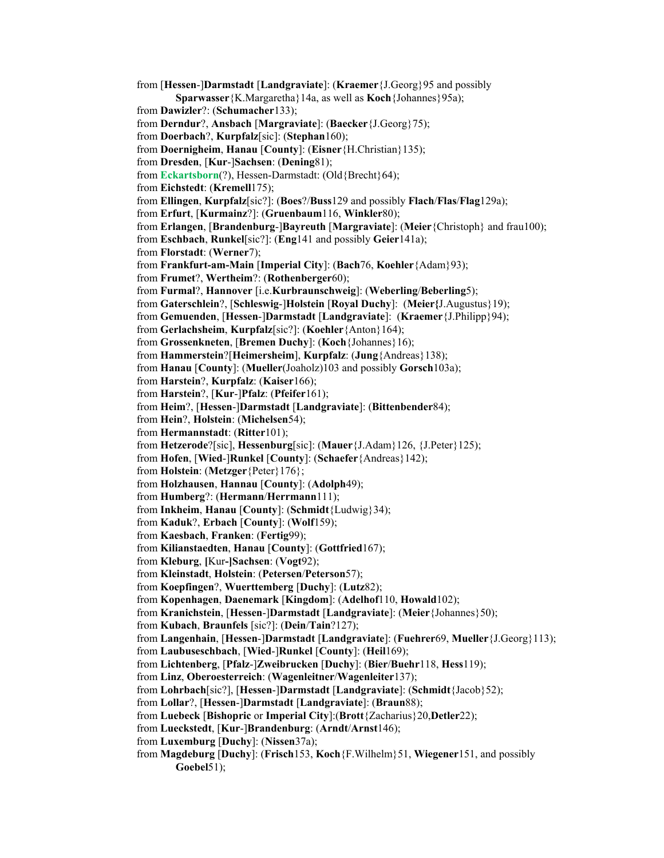from [**Hessen**-]**Darmstadt** [**Landgraviate**]: (**Kraemer**{J.Georg}95 and possibly **Sparwasser**{K.Margaretha}14a, as well as **Koch**{Johannes}95a); from **Dawizler**?: (**Schumacher**133); from **Derndur**?, **Ansbach** [**Margraviate**]: (**Baecker**{J.Georg}75); from **Doerbach**?, **Kurpfalz**[sic]: (**Stephan**160); from **Doernigheim**, **Hanau** [**County**]: (**Eisner**{H.Christian}135); from **Dresden**, [**Kur**-]**Sachsen**: (**Dening**81); from **Eckartsborn**(?), Hessen-Darmstadt: (Old{Brecht}64); from **Eichstedt**: (**Kremell**175); from **Ellingen**, **Kurpfalz**[sic?]: (**Boes**?/**Buss**129 and possibly **Flach**/**Flas**/**Flag**129a); from **Erfurt**, [**Kurmainz**?]: (**Gruenbaum**116, **Winkler**80); from **Erlangen**, [**Brandenburg**-]**Bayreuth** [**Margraviate**]: (**Meier**{Christoph} and frau100); from **Eschbach**, **Runkel**[sic?]: (**Eng**141 and possibly **Geier**141a); from **Florstadt**: (**Werner**7); from **Frankfurt-am-Main** [**Imperial City**]: (**Bach**76, **Koehler**{Adam}93); from **Frumet**?, **Wertheim**?: (**Rothenberger**60); from **Furmal**?, **Hannover** [i.e.**Kurbraunschweig**]: (**Weberling**/**Beberling**5); from **Gaterschlein**?, [**Schleswig**-]**Holstein** [**Royal Duchy**]: (**Meier{**J.Augustus}19); from **Gemuenden**, [**Hessen**-]**Darmstadt** [**Landgraviate**]: (**Kraemer**{J.Philipp}94); from **Gerlachsheim**, **Kurpfalz**[sic?]: (**Koehler**{Anton}164); from **Grossenkneten**, [**Bremen Duchy**]: (**Koch**{Johannes}16); from **Hammerstein**?[**Heimersheim**], **Kurpfalz**: (**Jung**{Andreas}138); from **Hanau** [**County**]: (**Mueller**(Joaholz)103 and possibly **Gorsch**103a); from **Harstein**?, **Kurpfalz**: (**Kaiser**166); from **Harstein**?, [**Kur**-]**Pfalz**: (**Pfeifer**161); from **Heim**?, [**Hessen**-]**Darmstadt** [**Landgraviate**]: (**Bittenbender**84); from **Hein**?, **Holstein**: (**Michelsen**54); from **Hermannstadt**: (**Ritter**101); from **Hetzerode**?[sic], **Hessenburg**[sic]: (**Mauer**{J.Adam}126, {J.Peter}125); from **Hofen**, [**Wied**-]**Runkel** [**County**]: (**Schaefer**{Andreas}142); from **Holstein**: (**Metzger**{Peter}176}; from **Holzhausen**, **Hannau** [**County**]: (**Adolph**49); from **Humberg**?: (**Hermann**/**Herrmann**111); from **Inkheim**, **Hanau** [**County**]: (**Schmidt**{Ludwig}34); from **Kaduk**?, **Erbach** [**County**]: (**Wolf**159); from **Kaesbach**, **Franken**: (**Fertig**99); from **Kilianstaedten**, **Hanau** [**County**]: (**Gottfried**167); from **Kleburg**, **[**Kur**-]Sachsen**: (**Vogt**92); from **Kleinstadt**, **Holstein**: (**Petersen**/**Peterson**57); from **Koepfingen**?, **Wuerttemberg** [**Duchy**]: (**Lutz**82); from **Kopenhagen**, **Daenemark** [**Kingdom**]: (**Adelhof**110, **Howald**102); from **Kranichstein**, [**Hessen**-]**Darmstadt** [**Landgraviate**]: (**Meier**{Johannes}50); from **Kubach**, **Braunfels** [sic?]: (**Dein**/**Tain**?127); from **Langenhain**, [**Hessen**-]**Darmstadt** [**Landgraviate**]: (**Fuehrer**69, **Mueller**{J.Georg}113); from **Laubuseschbach**, [**Wied**-]**Runkel** [**County**]: (**Heil**169); from **Lichtenberg**, [**Pfalz**-]**Zweibrucken** [**Duchy**]: (**Bier**/**Buehr**118, **Hess**119); from **Linz**, **Oberoesterreich**: (**Wagenleitner**/**Wagenleiter**137); from **Lohrbach**[sic?], [**Hessen**-]**Darmstadt** [**Landgraviate**]: (**Schmidt**{Jacob}52); from **Lollar**?, [**Hessen**-]**Darmstadt** [**Landgraviate**]: (**Braun**88); from **Luebeck** [**Bishopric** or **Imperial City**]:(**Brott**{Zacharius}20,**Detler**22); from **Lueckstedt**, [**Kur**-]**Brandenburg**: (**Arndt**/**Arnst**146); from **Luxemburg** [**Duchy**]: (**Nissen**37a); from **Magdeburg** [**Duchy**]: (**Frisch**153, **Koch**{F.Wilhelm}51, **Wiegener**151, and possibly **Goebel**51);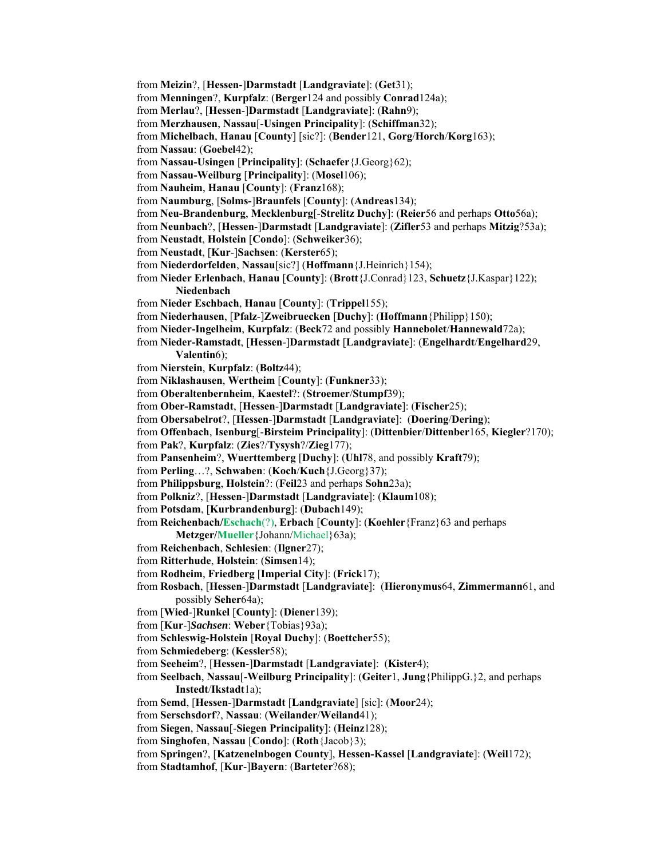from **Meizin**?, [**Hessen**-]**Darmstadt** [**Landgraviate**]: (**Get**31); from **Menningen**?, **Kurpfalz**: (**Berger**124 and possibly **Conrad**124a); from **Merlau**?, [**Hessen**-]**Darmstadt** [**Landgraviate**]: (**Rahn**9); from **Merzhausen**, **Nassau**[-**Usingen Principality**]: (**Schiffman**32); from **Michelbach**, **Hanau** [**County**] [sic?]: (**Bender**121, **Gorg**/**Horch**/**Korg**163); from **Nassau**: (**Goebel**42); from **Nassau-Usingen** [**Principality**]: (**Schaefer**{J.Georg}62); from **Nassau-Weilburg** [**Principality**]: (**Mosel**106); from **Nauheim**, **Hanau** [**County**]: (**Franz**168); from **Naumburg**, [**Solms-**]**Braunfels** [**County**]: (**Andreas**134); from **Neu-Brandenburg**, **Mecklenburg**[-**Strelitz Duchy**]: (**Reier**56 and perhaps **Otto**56a); from **Neunbach**?, [**Hessen**-]**Darmstadt** [**Landgraviate**]: (**Zifler**53 and perhaps **Mitzig**?53a); from **Neustadt**, **Holstein** [**Condo**]: (**Schweiker**36); from **Neustadt**, [**Kur**-]**Sachsen**: (**Kerster**65); from **Niederdorfelden**, **Nassau**[sic?] (**Hoffmann**{J.Heinrich}154); from **Nieder Erlenbach**, **Hanau** [**County**]: (**Brott**{J.Conrad}123, **Schuetz**{J.Kaspar}122); **Niedenbach** from **Nieder Eschbach**, **Hanau** [**County**]: (**Trippel**155); from **Niederhausen**, [**Pfalz**-]**Zweibruecken** [**Duchy**]: (**Hoffmann**{Philipp}150); from **Nieder-Ingelheim**, **Kurpfalz**: (**Beck**72 and possibly **Hannebolet**/**Hannewald**72a); from **Nieder-Ramstadt**, [**Hessen**-]**Darmstadt** [**Landgraviate**]: (**Engelhardt**/**Engelhard**29, **Valentin**6); from **Nierstein**, **Kurpfalz**: (**Boltz**44); from **Niklashausen**, **Wertheim** [**County**]: (**Funkner**33); from **Oberaltenbernheim**, **Kaestel**?: (**Stroemer**/**Stumpf**39); from **Ober-Ramstadt**, [**Hessen**-]**Darmstadt** [**Landgraviate**]: (**Fischer**25); from **Obersabelrot**?, [**Hessen**-]**Darmstadt** [**Landgraviate**]: (**Doering**/**Dering**); from **Offenbach**, **Isenburg**[-**Birsteim Principality**]: (**Dittenbier**/**Dittenber**165, **Kiegler**?170); from **Pak**?, **Kurpfalz**: (**Zies**?/**Tysysh**?/**Zieg**177); from **Pansenheim**?, **Wuerttemberg** [**Duchy**]: (**Uhl**78, and possibly **Kraft**79); from **Perling**…?, **Schwaben**: (**Koch**/**Kuch**{J.Georg}37); from **Philippsburg**, **Holstein**?: (**Feil**23 and perhaps **Sohn**23a); from **Polkniz**?, [**Hessen**-]**Darmstadt** [**Landgraviate**]: (**Klaum**108); from **Potsdam**, [**Kurbrandenburg**]: (**Dubach**149); from **Reichenbach/Eschach**(?), **Erbach** [**County**]: (**Koehler**{Franz}63 and perhaps **Metzger/Mueller**{Johann/Michael}63a); from **Reichenbach**, **Schlesien**: (**Ilgner**27); from **Ritterhude**, **Holstein**: (**Simsen**14); from **Rodheim**, **Friedberg** [**Imperial City**]: (**Frick**17); from **Rosbach**, [**Hessen**-]**Darmstadt** [**Landgraviate**]: (**Hieronymus**64, **Zimmermann**61, and possibly **Seher**64a); from [**Wied**-]**Runkel** [**County**]: (**Diener**139); from [**Kur**-]*Sachsen*: **Weber**{Tobias}93a); from **Schleswig-Holstein** [**Royal Duchy**]: (**Boettcher**55); from **Schmiedeberg**: (**Kessler**58); from **Seeheim**?, [**Hessen**-]**Darmstadt** [**Landgraviate**]: (**Kister**4); from **Seelbach**, **Nassau**[-**Weilburg Principality**]: (**Geiter**1, **Jung**{PhilippG.}2, and perhaps **Instedt**/**Ikstadt**1a); from **Semd**, [**Hessen**-]**Darmstadt** [**Landgraviate**] [sic]: (**Moor**24); from **Serschsdorf**?, **Nassau**: (**Weilander**/**Weiland**41); from **Siegen**, **Nassau**[-**Siegen Principality**]: (**Heinz**128); from **Singhofen**, **Nassau** [**Condo**]: (**Roth**{Jacob}3); from **Springen**?, [**Katzenelnbogen County**], **Hessen-Kassel** [**Landgraviate**]: (**Weil**172); from **Stadtamhof**, [**Kur**-]**Bayern**: (**Barteter**?68);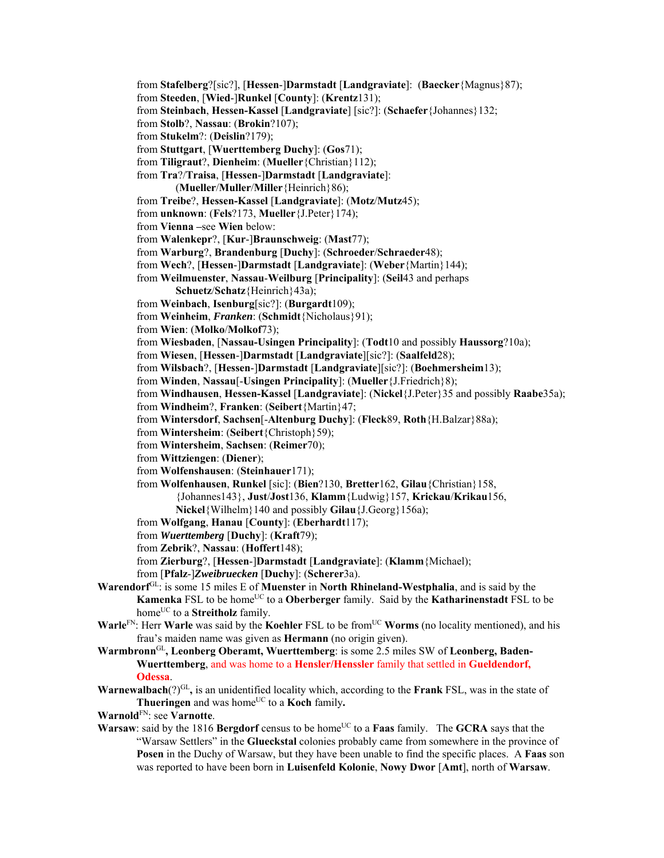- from **Stafelberg**?[sic?], [**Hessen**-]**Darmstadt** [**Landgraviate**]: (**Baecker**{Magnus}87);
- from **Steeden**, [**Wied**-]**Runkel** [**County**]: (**Krentz**131);
- from **Steinbach**, **Hessen-Kassel** [**Landgraviate**] [sic?]: (**Schaefer**{Johannes}132;
- from **Stolb**?, **Nassau**: (**Brokin**?107);
- from **Stukelm**?: (**Deislin**?179);
- from **Stuttgart**, [**Wuerttemberg Duchy**]: (**Gos**71);
- from **Tiligraut**?, **Dienheim**: (**Mueller**{Christian}112);
- from **Tra**?/**Traisa**, [**Hessen**-]**Darmstadt** [**Landgraviate**]:
	- (**Mueller**/**Muller**/**Miller**{Heinrich}86);
- from **Treibe**?, **Hessen-Kassel** [**Landgraviate**]: (**Motz**/**Mutz**45);
- from **unknown**: (**Fels**?173, **Mueller**{J.Peter}174);
- from **Vienna –**see **Wien** below:
- from **Walenkepr**?, [**Kur**-]**Braunschweig**: (**Mast**77);
- from **Warburg**?, **Brandenburg** [**Duchy**]: (**Schroeder**/**Schraeder**48);
- from **Wech**?, [**Hessen**-]**Darmstadt** [**Landgraviate**]: (**Weber**{Martin}144);
- from **Weilmuenster**, **Nassau**-**Weilburg** [**Principality**]: (**Seil**43 and perhaps
	- **Schuetz**/**Schatz**{Heinrich}43a);
- from **Weinbach**, **Isenburg**[sic?]: (**Burgardt**109);
- from **Weinheim**, *Franken*: (**Schmidt**{Nicholaus}91);
- from **Wien**: (**Molko**/**Molkof**73);
- from **Wiesbaden**, [**Nassau-Usingen Principality**]: (**Todt**10 and possibly **Haussorg**?10a);
- from **Wiesen**, [**Hessen**-]**Darmstadt** [**Landgraviate**][sic?]: (**Saalfeld**28);
- from **Wilsbach**?, [**Hessen**-]**Darmstadt** [**Landgraviate**][sic?]: (**Boehmersheim**13);
- from **Winden**, **Nassau**[-**Usingen Principality**]: (**Mueller**{J.Friedrich}8);
- from **Windhausen**, **Hessen-Kassel** [**Landgraviate**]: (**Nickel**{J.Peter}35 and possibly **Raabe**35a);
- from **Windheim**?, **Franken**: (**Seibert**{Martin}47;
- from **Wintersdorf**, **Sachsen**[-**Altenburg Duchy**]: (**Fleck**89, **Roth**{H.Balzar}88a);
- from **Wintersheim**: (**Seibert**{Christoph}59);
- from **Wintersheim**, **Sachsen**: (**Reimer**70);
- from **Wittziengen**: (**Diener**);
- from **Wolfenshausen**: (**Steinhauer**171);
- from **Wolfenhausen**, **Runkel** [sic]: (**Bien**?130, **Bretter**162, **Gilau**{Christian}158,
	- {Johannes143}, **Just**/**Jost**136, **Klamm**{Ludwig}157, **Krickau**/**Krikau**156,
	- **Nickel**{Wilhelm}140 and possibly **Gilau**{J.Georg}156a);
- from **Wolfgang**, **Hanau** [**County**]: (**Eberhardt**117);
- from *Wuerttemberg* [**Duchy**]: (**Kraft**79);
- from **Zebrik**?, **Nassau**: (**Hoffert**148);
- from **Zierburg**?, [**Hessen**-]**Darmstadt** [**Landgraviate**]: (**Klamm**{Michael);
- from [**Pfalz**-]*Zweibruecken* [**Duchy**]: (**Scherer**3a).
- **Warendorf**GL: is some 15 miles E of **Muenster** in **North Rhineland-Westphalia**, and is said by the **Kamenka** FSL to be home<sup>UC</sup> to a **Oberberger** family. Said by the **Katharinenstadt** FSL to be home<sup>UC</sup> to a **Streitholz** family.
- **Warle**FN: Herr **Warle** was said by the **Koehler** FSL to be from<sup>UC</sup> **Worms** (no locality mentioned), and his frau's maiden name was given as **Hermann** (no origin given).
- **Warmbronn**GL**, Leonberg Oberamt, Wuerttemberg**: is some 2.5 miles SW of **Leonberg, Baden-Wuerttemberg**, and was home to a **Hensler/Henssler** family that settled in **Gueldendorf, Odessa**.
- **Warnewalbach**(?)GL**,** is an unidentified locality which, according to the **Frank** FSL, was in the state of **Thueringen** and was home<sup>UC</sup> to a **Koch** family.
- **Warnold**FN: see **Varnotte**.
- **Warsaw**: said by the 1816 **Bergdorf** census to be home<sup>UC</sup> to a **Faas** family. The **GCRA** says that the "Warsaw Settlers" in the **Glueckstal** colonies probably came from somewhere in the province of **Posen** in the Duchy of Warsaw, but they have been unable to find the specific places. A **Faas** son was reported to have been born in **Luisenfeld Kolonie**, **Nowy Dwor** [**Amt**], north of **Warsaw**.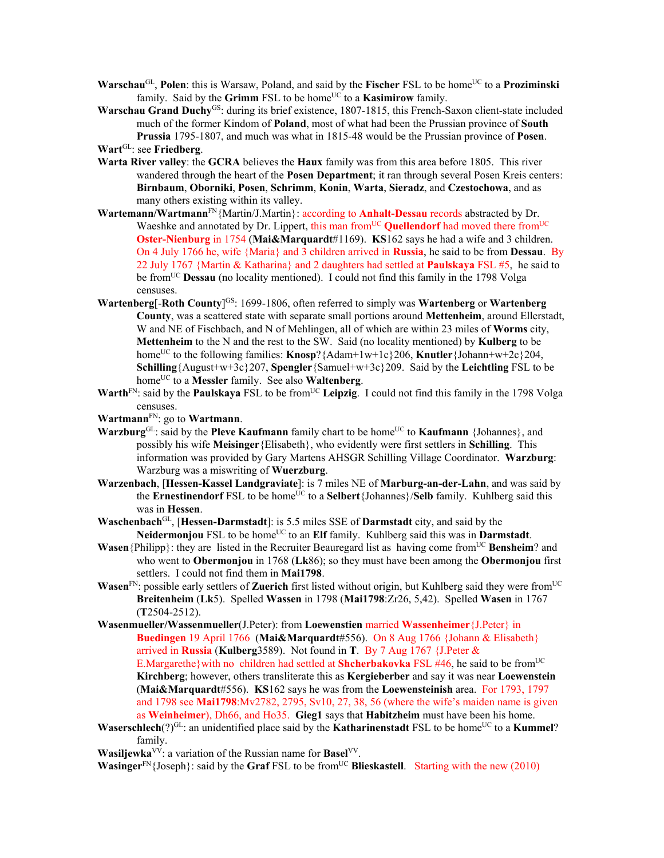- **Warschau**<sup>GL</sup>, **Polen**: this is Warsaw, Poland, and said by the **Fischer** FSL to be home<sup>UC</sup> to a **Proziminski** family. Said by the **Grimm** FSL to be home<sup>UC</sup> to a **Kasimirow** family.
- Warschau Grand Duchy<sup>GS</sup>: during its brief existence, 1807-1815, this French-Saxon client-state included much of the former Kindom of **Poland**, most of what had been the Prussian province of **South Prussia** 1795-1807, and much was what in 1815-48 would be the Prussian province of **Posen**.

**Wart**GL: see **Friedberg**.

- **Warta River valley**: the **GCRA** believes the **Haux** family was from this area before 1805. This river wandered through the heart of the **Posen Department**; it ran through several Posen Kreis centers: **Birnbaum**, **Oborniki**, **Posen**, **Schrimm**, **Konin**, **Warta**, **Sieradz**, and **Czestochowa**, and as many others existing within its valley.
- **Wartemann/Wartmann**FN{Martin/J.Martin}: according to **Anhalt-Dessau** records abstracted by Dr. Waeshke and annotated by Dr. Lippert, this man from<sup>UC</sup> **Quellendorf** had moved there from<sup>UC</sup> **Oster-Nienburg** in 1754 (**Mai&Marquardt**#1169). **KS**162 says he had a wife and 3 children. On 4 July 1766 he, wife {Maria} and 3 children arrived in **Russia**, he said to be from **Dessau**. By 22 July 1767 {Martin & Katharina} and 2 daughters had settled at **Paulskaya** FSL #5, he said to be fromUC **Dessau** (no locality mentioned). I could not find this family in the 1798 Volga censuses.
- **Wartenberg**[-**Roth County**] GS: 1699-1806, often referred to simply was **Wartenberg** or **Wartenberg County**, was a scattered state with separate small portions around **Mettenheim**, around Ellerstadt, W and NE of Fischbach, and N of Mehlingen, all of which are within 23 miles of **Worms** city, **Mettenheim** to the N and the rest to the SW. Said (no locality mentioned) by **Kulberg** to be home<sup>UC</sup> to the following families: **Knosp**?{Adam+1w+1c}206, **Knutler**{Johann+w+2c}204, **Schilling**{August+w+3c}207, **Spengler**{Samuel+w+3c}209. Said by the **Leichtling** FSL to be homeUC to a **Messler** family. See also **Waltenberg**.
- **Warth**<sup>FN</sup>: said by the **Paulskaya** FSL to be from<sup>UC</sup> Leipzig. I could not find this family in the 1798 Volga censuses.

**Wartmann**FN: go to **Wartmann**.

- **Warzburg**<sup>GL</sup>: said by the **Pleve Kaufmann** family chart to be home<sup>UC</sup> to **Kaufmann** {Johannes}, and possibly his wife **Meisinger**{Elisabeth}, who evidently were first settlers in **Schilling**. This information was provided by Gary Martens AHSGR Schilling Village Coordinator. **Warzburg**: Warzburg was a miswriting of **Wuerzburg**.
- **Warzenbach**, [**Hessen-Kassel Landgraviate**]: is 7 miles NE of **Marburg-an-der-Lahn**, and was said by the **Ernestinendorf** FSL to be home<sup>UC</sup> to a **Selbert** {Johannes}/**Selb** family. Kuhlberg said this was in **Hessen**.
- **Waschenbach**GL, [**Hessen-Darmstadt**]: is 5.5 miles SSE of **Darmstadt** city, and said by the **Neidermonjou** FSL to be home<sup>UC</sup> to an **Elf** family. Kuhlberg said this was in **Darmstadt**.
- **Wasen**{Philipp}: they are listed in the Recruiter Beauregard list as having come from<sup>UC</sup> Bensheim? and who went to **Obermonjou** in 1768 (**Lk**86); so they must have been among the **Obermonjou** first settlers. I could not find them in **Mai1798**.
- **Wasen**<sup>FN</sup>: possible early settlers of **Zuerich** first listed without origin, but Kuhlberg said they were from<sup>UC</sup> **Breitenheim** (**Lk**5). Spelled **Wassen** in 1798 (**Mai1798**:Zr26, 5,42). Spelled **Wasen** in 1767 (**T**2504-2512).
- **Wasenmueller/Wassenmueller**(J.Peter): from **Loewenstien** married **Wassenheimer**{J.Peter} in **Buedingen** 19 April 1766 (**Mai&Marquardt**#556). On 8 Aug 1766 {Johann & Elisabeth} arrived in **Russia** (**Kulberg**3589). Not found in **T**. By 7 Aug 1767 {J.Peter & E.Margarethe}with no children had settled at **Shcherbakovka** FSL #46, he said to be from<sup>UC</sup> **Kirchberg**; however, others transliterate this as **Kergieberber** and say it was near **Loewenstein** (**Mai&Marquardt**#556). **KS**162 says he was from the **Loewensteinish** area. For 1793, 1797 and 1798 see **Mai1798**:Mv2782, 2795, Sv10, 27, 38, 56 (where the wife's maiden name is given as **Weinheimer**), Dh66, and Ho35. **Gieg1** says that **Habitzheim** must have been his home.
- **Waserschlech**(?)<sup>GL</sup>: an unidentified place said by the **Katharinenstadt** FSL to be home<sup>UC</sup> to a **Kummel**? family.
- **Wasiljewka**VV: a variation of the Russian name for **Basel**VV.

**Wasinger**<sup>FN</sup>{Joseph}: said by the **Graf** FSL to be from<sup>UC</sup> **Blieskastell**. Starting with the new (2010)